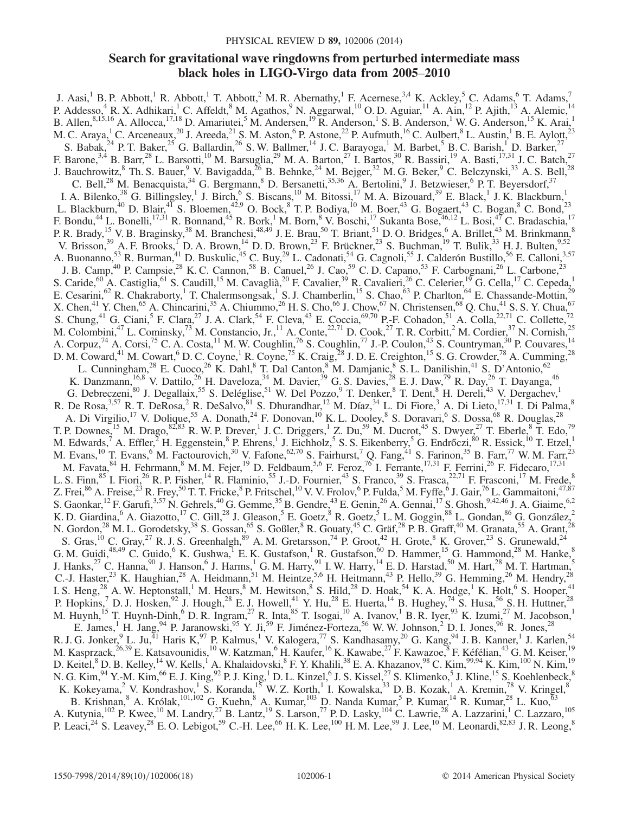# Search for gravitational wave ringdowns from perturbed intermediate mass black holes in LIGO-Virgo data from 2005–2010

J. Aasi,<sup>1</sup> B. P. Abbott,<sup>1</sup> R. Abbott,<sup>1</sup> T. Abbott,<sup>2</sup> M. R. Abernathy,<sup>1</sup> F. Acernese,<sup>3,4</sup> K. Ackley,<sup>5</sup> C. Adams,<sup>6</sup> T. Adams,<sup>7</sup> P. Addesso,<sup>4</sup> R. X. Adhikari,<sup>1</sup> C. Affeldt,<sup>8</sup> M. Agathos,<sup>9</sup> N. Aggarwal,<sup>10</sup> O. D. Aguiar,<sup>11</sup> A. Ain,<sup>12</sup> P. Ajith,<sup>13</sup> A. Alemic,<sup>14</sup> B. Allen,  $8,15,16$  A. Allocca,  $17,18$  D. Amariutei,  $5$  M. Andersen,  $19$  R. Anderson,  $1$  S. B. Anderson,  $1$  W. G. Anderson,  $15$  K. Arai,  $1$ M. C. Araya,<sup>1</sup> C. Arceneaux,<sup>20</sup> J. Areeda,<sup>21</sup> S. M. Aston,<sup>6</sup> P. Astone,<sup>22</sup> P. Aufmuth,<sup>16</sup> C. Aulbert,<sup>8</sup> L. Austin,<sup>1</sup> B. E. Aylott,<sup>23</sup> S. Babak,  $^{24}$  P. T. Baker,  $^{25}$  G. Ballardin,  $^{26}$  S. W. Ballmer,  $^{14}$  J. C. Barayoga,  $^{1}$  M. Barbet,  $^{5}$  B. C. Barish,  $^{1}$  D. Barker,  $^{27}$ F. Barone,  $3,4$  B. Barr,  $28$  L. Barsotti,  $10$  M. Barsuglia,  $29$  M. A. Barton,  $27$  I. Bartos,  $30$  R. Bassiri,  $19$  A. Basti,  $17,31$  J. C. Batch,  $27$ J. Bauchrowitz,  $8$  Th. S. Bauer,  $9$  V. Bavigadda,  $^{26}$  B. Behnke,  $^{24}$  M. Bejger,  $^{32}$  M. G. Beker,  $9$  C. Belczynski,  $^{33}$  A. S. Bell,  $^{28}$ C. Bell,<sup>28</sup> M. Benacquista,<sup>34</sup> G. Bergmann,<sup>8</sup> D. Bersanetti,<sup>35,36</sup> A. Bertolini,<sup>9</sup> J. Betzwieser,<sup>6</sup> P. T. Beyersdorf,<sup>37</sup> I. A. Bilenko,<sup>38</sup> G. Billingsley,<sup>1</sup> J. Birch,<sup>6</sup> S. Biscans,<sup>10</sup> M. Bitossi,<sup>17</sup> M. A. Bizouard,<sup>39</sup> E. Black,<sup>1</sup> J. K. Blackburn,<sup>1</sup> L. Blackburn,<sup>40</sup> D. Blair,<sup>41</sup> S. Bloemen,<sup>42,9</sup> O. Bock,<sup>8</sup> T. P. Bodiya,<sup>10</sup> M. Boer,<sup>43</sup> G. Bogaert,<sup>43</sup> C. Bogan,<sup>8</sup> C. Bond,<sup>23</sup> F. Bondu,<sup>44</sup> L. Bonelli,<sup>17,31</sup> R. Bonnand,<sup>45</sup> R. Bork,<sup>1</sup> M. Born,<sup>8</sup> V. Boschi,<sup>17</sup> Sukanta Bose,<sup>46,12</sup> L. Bosi,<sup>47</sup> C. Bradaschia,<sup>17</sup> P. R. Brady, <sup>15</sup> V. B. Braginsky, <sup>38</sup> M. Branchesi, <sup>48,49</sup> J. E. Brau, <sup>50</sup> T. Briant, <sup>51</sup> D. O. Bridges, <sup>6</sup> A. Brillet, <sup>43</sup> M. Brinkmann, <sup>8</sup> V. Brisson,<sup>39</sup> A. F. Brooks,<sup>1</sup> D. A. Brown,<sup>14</sup> D. D. Brown,<sup>23</sup> F. Brückner,<sup>23</sup> S. Buchman,<sup>19</sup> T. Bulik,<sup>33</sup> H. J. Bulten,<sup>9,52</sup> A. Buonanno,<sup>53</sup> R. Burman,<sup>41</sup> D. Buskulic,<sup>45</sup> C. Buy,<sup>29</sup> L. Cadonati,<sup>54</sup> G. Cagnoli,<sup>55</sup> J. Calderón Bustillo,<sup>56</sup> E. Calloni,<sup>3,57</sup> J. B. Camp,<sup>40</sup> P. Campsie,<sup>28</sup> K. C. Cannon,<sup>58</sup> B. Canuel,<sup>26</sup> J. Cao,<sup>59</sup> C. D. Capano,<sup>53</sup> F. Carbognani,<sup>26</sup> L. Carbone,<sup>23</sup> S. Caride,<sup>60</sup> A. Castiglia,<sup>61</sup> S. Caudill,<sup>15</sup> M. Cavaglià,<sup>20</sup> F. Cavalier,<sup>39</sup> R. Cavalieri,<sup>26</sup> C. Celerier,<sup>19</sup> G. Cella,<sup>17</sup> C. Cepeda,<sup>1</sup> E. Cesarini,<sup>62</sup> R. Chakraborty,<sup>1</sup> T. Chalermsongsak,<sup>1</sup> S. J. Chamberlin,<sup>15</sup> S. Chao,<sup>63</sup> P. Charlton,<sup>64</sup> E. Chassande-Mottin,<sup>29</sup> X. Chen,<sup>41</sup> Y. Chen,<sup>65</sup> A. Chincarini,<sup>35</sup> A. Chiummo,<sup>26</sup> H. S. Cho,<sup>66</sup> J. Chow,<sup>67</sup> N. Christensen,<sup>68</sup> Q. Chu,<sup>41</sup> S. S. Y. Chua,<sup>67</sup> S. Chung,<sup>41</sup> G. Ciani,<sup>5</sup> F. Clara,<sup>27</sup> J. A. Clark,<sup>54</sup> F. Cleva,<sup>43</sup> E. Coccia,<sup>69,70</sup> P.-F. Cohadon,<sup>51</sup> A. Colla,<sup>22,71</sup> C. Collette,<sup>72</sup> M. Colombini,<sup>47</sup> L. Cominsky,<sup>73</sup> M. Constancio, Jr.,<sup>11</sup> A. Conte,<sup>22,71</sup> D. Cook,<sup>27</sup> T. R. Corbitt,<sup>2</sup> M. Cordier,<sup>37</sup> N. Cornish,<sup>25</sup> A. Corpuz,<sup>74</sup> A. Corsi,<sup>75</sup> C. A. Costa,<sup>11</sup> M. W. Coughlin,<sup>76</sup> S. Coughlin,<sup>77</sup> J.-P. Coulon,<sup>43</sup> S. Countryman,<sup>30</sup> P. Couvares,<sup>14</sup> D. M. Coward,<sup>41</sup> M. Cowart,<sup>6</sup> D. C. Coyne,<sup>1</sup> R. Coyne,<sup>75</sup> K. Craig,<sup>28</sup> J. D. E. Creighton,<sup>15</sup> S. G. Crowder,<sup>78</sup> A. Cumming,<sup>28</sup> L. Cunningham,<sup>28</sup> E. Cuoco,<sup>26</sup> K. Dahl,<sup>8</sup> T. Dal Canton,<sup>8</sup> M. Damjanic,<sup>8</sup> S. L. Danilishin,<sup>41</sup> S. D'Antonio,<sup>62</sup> K. Danzmann,<sup>16,8</sup> V. Dattilo,<sup>26</sup> H. Daveloza,<sup>34</sup> M. Davier,<sup>39</sup> G. S. Davies,<sup>28</sup> E. J. Daw,<sup>79</sup> R. Day,<sup>26</sup> T. Dayanga,<sup>46</sup> G. Debreczeni,<sup>80</sup> J. Degallaix,<sup>55</sup> S. Deléglise,<sup>51</sup> W. Del Pozzo,<sup>9</sup> T. Denker,<sup>8</sup> T. Dent,<sup>8</sup> H. Dereli,<sup>43</sup> V. Dergachev,<sup>1</sup> R. De Rosa,  $3,57$  R. T. DeRosa, <sup>2</sup> R. DeSalvo,  $81$  S. Dhurandhar,  $12$  M. Díaz,  $34$  L. Di Fiore,  $3$  A. Di Lieto,  $17,31$  I. Di Palma,  $8$ A. Di Virgilio,<sup>17</sup> V. Dolique,<sup>55</sup> A. Donath,<sup>24</sup> F. Donovan,<sup>10</sup> K. L. Dooley,<sup>8</sup> S. Doravari,<sup>6</sup> S. Dossa,<sup>68</sup> R. Douglas,<sup>28</sup> T. P. Downes, <sup>15</sup> M. Drago,  $82,83$  R. W. P. Drever, <sup>1</sup> J. C. Driggers, <sup>1</sup> Z. Du, <sup>59</sup> M. Ducrot, <sup>45</sup> S. Dwyer, <sup>27</sup> T. Eberle,  $8$  T. Edo, <sup>79</sup> M. Edwards,<sup>7</sup> A. Effler,<sup>2</sup> H. Eggenstein,<sup>8</sup> P. Ehrens,<sup>1</sup> J. Eichholz,<sup>5</sup> S. S. Eikenberry,<sup>5</sup> G. Endrőczi,<sup>80</sup> R. Essick,<sup>10</sup> T. Etzel,<sup>1</sup> M. Evans,<sup>10</sup> T. Evans,<sup>6</sup> M. Factourovich,<sup>30</sup> V. Fafone,<sup>62,70</sup> S. Fairhurst,<sup>7</sup> Q. Fang,<sup>41</sup> S. Farinon,<sup>35</sup> B. Farr,<sup>77</sup> W. M. Farr,<sup>23</sup> M. Favata, <sup>84</sup> H. Fehrmann, <sup>8</sup> M. M. Fejer, <sup>19</sup> D. Feldbaum, <sup>5,6</sup> F. Feroz, <sup>76</sup> I. Ferrante, <sup>17,31</sup> F. Ferrini, <sup>26</sup> F. Fidecaro, <sup>17,31</sup> L. S. Finn, <sup>85</sup> I. Fiori, <sup>26</sup> R. P. Fisher, <sup>14</sup> R. Flaminio, <sup>55</sup> J.-D. Fournier, <sup>43</sup> S. Franco, <sup>39</sup> S. Frasca, <sup>22,71</sup> F. Frasconi, <sup>17</sup> M. Frede, <sup>8</sup> Z. Frei, $^{86}$  A. Freise, $^{23}$  R. Frey, $^{50}$  T. T. Fricke, $^8$  P. Fritschel, $^{10}$  V. V. Frolov, $^6$  P. Fulda, $^5$  M. Fyffe, $^6$  J. Gair, $^{76}$  L. Gammaitoni, $^{47,87}$ S. Gaonkar,  $^{12}$  F. Garufi,  $^{3,57}$  N. Gehrels,  $^{40}$  G. Gemme,  $^{35}$  B. Gendre,  $^{43}$  E. Genin,  $^{26}$  A. Gennai,  $^{17}$  S. Ghosh,  $^{9,42,46}$  J. A. Giaime,  $^{6,2}$ K. D. Giardina,  $6$  A. Giazotto,  $^{17}$  C. Gill,  $^{28}$  J. Gleason,  $^5$  E. Goetz,  $^8$  R. Goetz,  $^5$  L. M. Goggin,  $^{88}$  L. Gondan,  $^{86}$  G. González,  $^2$ N. Gordon,<sup>28</sup> M. L. Gorodetsky,<sup>38</sup> S. Gossan,<sup>65</sup> S. Goßler,<sup>8</sup> R. Gouaty,<sup>45</sup> C. Gräf,<sup>28</sup> P. B. Graff,<sup>40</sup> M. Granata,<sup>55</sup> A. Grant,<sup>28</sup> S. Gras,<sup>10</sup> C. Gray,<sup>27</sup> R. J. S. Greenhalgh,<sup>89</sup> A. M. Gretarsson,<sup>74</sup> P. Groot,<sup>42</sup> H. Grote,<sup>8</sup> K. Grover,<sup>23</sup> S. Grunewald,<sup>24</sup> G. M. Guidi,<sup>48,49</sup> C. Guido,<sup>6</sup> K. Gushwa, E. K. Gustafson, R. Gustafson, <sup>60</sup> D. Hammer, <sup>15</sup> G. Hammond, <sup>28</sup> M. Hanke, <sup>8</sup> J. Hanks,<sup>27</sup> C. Hanna,<sup>90</sup> J. Hanson,<sup>6</sup> J. Harms,<sup>1</sup> G. M. Harry,<sup>91</sup> I. W. Harry,<sup>14</sup> E. D. Harstad,<sup>50</sup> M. Hart,<sup>28</sup> M. T. Hartman,<sup>5</sup> C.-J. Haster,<sup>23</sup> K. Haughian,<sup>28</sup> A. Heidmann,<sup>51</sup> M. Heintze,<sup>5,6</sup> H. Heitmann,<sup>43</sup> P. Hello,<sup>39</sup> G. Hemming,<sup>26</sup> M. Hendry,<sup>28</sup> I. S. Heng,<sup>28</sup> A. W. Heptonstall,<sup>1</sup> M. Heurs,<sup>8</sup> M. Hewitson,<sup>8</sup> S. Hild,<sup>28</sup> D. Hoak,<sup>54</sup> K. A. Hodge,<sup>1</sup> K. Holt,<sup>6</sup> S. Hooper,<sup>41</sup> P. Hopkins,<sup>7</sup> D. J. Hosken,<sup>92</sup> J. Hough,<sup>28</sup> E. J. Howell,<sup>41</sup> Y. Hu,<sup>28</sup> E. Huerta,<sup>14</sup> B. Hughey,<sup>74</sup> S. Husa,<sup>56</sup> S. H. Huttner,<sup>28</sup> M. Huynh,<sup>15</sup> T. Huynh-Dinh,<sup>6</sup> D. R. Ingram,<sup>27</sup> R. Inta,<sup>85</sup> T. Isogai,<sup>10</sup> A. Ivanov,<sup>1</sup> B. R. Iyer,<sup>93</sup> K. Izumi,<sup>27</sup> M. Jacobson,<sup>1</sup> E. James,<sup>1</sup> H. Jang,<sup>94</sup> P. Jaranowski,<sup>95</sup> Y. Ji,<sup>59</sup> F. Jiménez-Forteza,<sup>56</sup> W. W. Johnson,<sup>2</sup> D. I. Jones,<sup>96</sup> R. Jones,<sup>28</sup> R. J. G. Jonker,  $9$  L. Ju, $^{41}$  Haris K, $^{97}$  P. Kalmus,  $^1$  V. Kalogera, $^{77}$  S. Kandhasamy, $^{20}$  G. Kang, $^{94}$  J. B. Kanner,  $^1$  J. Karlen,  $^{54}$ M. Kasprzack,<sup>26,39</sup> E. Katsavounidis,<sup>10</sup> W. Katzman,<sup>6</sup> H. Kaufer,<sup>16</sup> K. Kawabe,<sup>27</sup> F. Kawazoe, <sup>8</sup> F. Kéfélian,<sup>43</sup> G. M. Keiser,<sup>19</sup> D. Keitel, ${}^{8}$  D. B. Kelley, ${}^{14}$  W. Kells, ${}^{1}$  A. Khalaidovski, ${}^{8}$  F. Y. Khalili, ${}^{38}$  E. A. Khazanov, ${}^{98}$  C. Kim, ${}^{99,94}$  K. Kim, ${}^{100}$  N. Kim, ${}^{19}$ N. G. Kim,  $94$  Y.-M. Kim,  $96$  E. J. King,  $92$  P. J. King,  $1$  D. L. Kinzel,  $6$  J. S. Kissel,  $27$  S. Klimenko,  $5$  J. Kline,  $15$  S. Koehlenbeck,  $8$ K. Kokeyama,<sup>2</sup> V. Kondrashov,<sup>1</sup> S. Koranda,<sup>15</sup> W. Z. Korth,<sup>1</sup> I. Kowalska,<sup>33</sup> D. B. Kozak,<sup>1</sup> A. Kremin,<sup>78</sup> V. Kringel,<sup>8</sup> B. Krishnan, <sup>8</sup> A. Królak,<sup>101,102</sup> G. Kuehn, <sup>8</sup> A. Kumar, <sup>103</sup> D. Nanda Kumar, <sup>5</sup> P. Kumar, <sup>14</sup> R. Kumar, <sup>28</sup> L. Kuo, <sup>63</sup> A. Kutynia,<sup>102</sup> P. Kwee,<sup>10</sup> M. Landry,<sup>27</sup> B. Lantz,<sup>19</sup> S. Larson,<sup>77</sup> P.D. Lasky,<sup>104</sup> C. Lawrie,<sup>28</sup> A. Lazzarini,<sup>1</sup> C. Lazzaro,<sup>105</sup> P. Leaci,  $^{24}$  S. Leavey,  $^{28}$  E. O. Lebigot,  $^{59}$  C.-H. Lee,  $^{66}$  H. K. Lee,  $^{100}$  H. M. Lee,  $^{99}$  J. Lee,  $^{10}$  M. Leonardi,  $^{82,83}$  J. R. Leong,  $^{8}$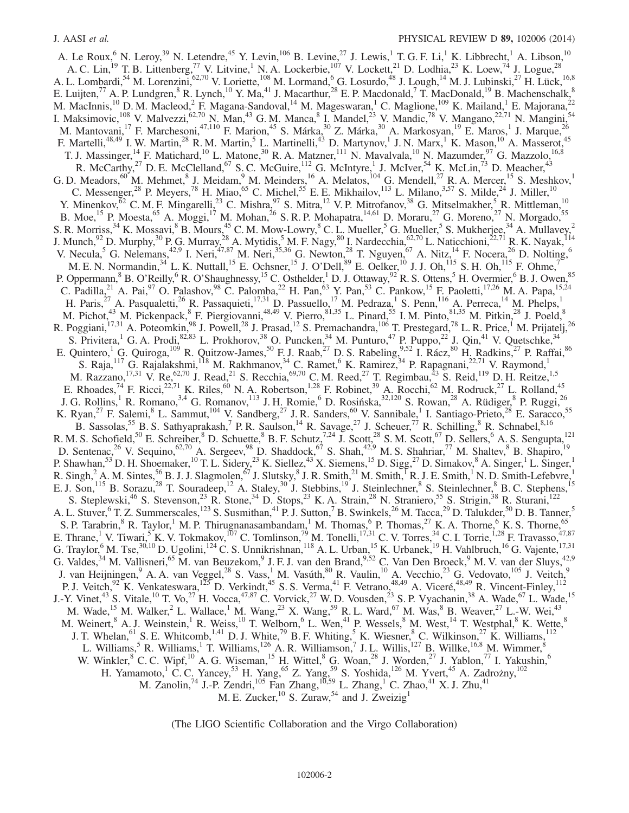A. Le Roux,  $^{6}$  N. Leroy,  $^{39}$  N. Letendre,  $^{45}$  Y. Levin,  $^{106}$  B. Levine,  $^{27}$  J. Lewis,  $^{1}$  T. G. F. Li,  $^{1}$  K. Libbrecht,  $^{1}$  A. Libson,  $^{10}$ A. C. Lin,<sup>19</sup> T. B. Littenberg,<sup>77</sup> V. Litvine,<sup>1</sup> N. A. Lockerbie,<sup>107</sup> V. Lockett,<sup>21</sup> D. Lodhia,<sup>23</sup> K. Loew,<sup>74</sup> J. Logue,<sup>28</sup> A. L. Lombardi,<sup>54</sup> M. Lorenzini,<sup>62,70</sup> V. Loriette,<sup>108</sup> M. Lormand,<sup>6</sup> G. Losurdo,<sup>48</sup> J. Lough,<sup>14</sup> M. J. Lubinski,<sup>27</sup> H. Lück,<sup>16,8</sup> E. Luijten,<sup>77</sup> A. P. Lundgren,<sup>8</sup> R. Lynch,<sup>10</sup> Y. Ma,<sup>41</sup> J. Macarthur,<sup>28</sup> E. P. Macdonald,<sup>7</sup> T. MacDonald,<sup>19</sup> B. Machenschalk,<sup>8</sup> M. MacInnis,<sup>10</sup> D. M. Macleod,<sup>2</sup> F. Magana-Sandoval,<sup>14</sup> M. Mageswaran,<sup>1</sup> C. Maglione,<sup>109</sup> K. Mailand,<sup>1</sup> E. Majorana,<sup>22</sup> I. Maksimovic,<sup>108</sup> V. Malvezzi,<sup>62,70</sup> N. Man,<sup>43</sup> G. M. Manca, <sup>8</sup> I. Mandel,<sup>23</sup> V. Mandic,<sup>78</sup> V. Mangano,<sup>22,71</sup> N. Mangini,<sup>54</sup> M. Mantovani,<sup>17</sup> F. Marchesoni,<sup>47,110</sup> F. Marion,<sup>45</sup> S. Márka,<sup>30</sup> Z. Márka,<sup>30</sup> A. Markosyan,<sup>19</sup> E. Maros,<sup>1</sup> J. Marque,<sup>26</sup> F. Martelli,<sup>48,49</sup> I. W. Martin,<sup>28</sup> R. M. Martin,<sup>5</sup> L. Martinelli,<sup>43</sup> D. Martynov,<sup>1</sup> J. N. Marx,<sup>1</sup> K. Mason,<sup>10</sup> A. Masserot,<sup>45</sup> T. J. Massinger,<sup>14</sup> F. Matichard,<sup>10</sup> L. Matone,<sup>30</sup> R. A. Matzner,<sup>111</sup> N. Mavalvala,<sup>10</sup> N. Mazumder,<sup>97</sup> G. Mazzolo,<sup>16,8</sup> R. McCarthy,<sup>27</sup> D. E. McClelland,<sup>67</sup> S. C. McGuire,<sup>112</sup> G. McIntyre,<sup>1</sup> J. McIver,<sup>54</sup> K. McLin,<sup>73</sup> D. Meacher,<sup>43</sup> G. D. Meadors,  $^{60}$  M. Mehmet,  $^{8}$  J. Meidam,  $^{9}$  M. Meinders,  $^{16}$  A. Melatos,  $^{104}$  G. Mendell,  $^{27}$  R. A. Mercer,  $^{15}$  S. Meshkov,  $^{1}$ C. Messenger,<sup>28</sup> P. Meyers,<sup>78</sup> H. Miao,<sup>65</sup> C. Michel,<sup>55</sup> E. E. Mikhailov,<sup>113</sup> L. Milano,<sup>3,57</sup> S. Milde,<sup>24</sup> J. Miller,<sup>10</sup> Y. Minenkov, $62$  C. M. F. Mingarelli,  $23$  C. Mishra,  $97$  S. Mitra,  $12$  V. P. Mitrofanov,  $38$  G. Mitselmakher,  $5$  R. Mittleman,  $10$ B. Moe,<sup>15</sup> P. Moesta,<sup>65</sup> A. Moggi,<sup>17</sup> M. Mohan,<sup>26</sup> S. R. P. Mohapatra,<sup>14,61</sup> D. Moraru,<sup>27</sup> G. Moreno,<sup>27</sup> N. Morgado,<sup>55</sup> S. R. Morriss,<sup>34</sup> K. Mossavi,<sup>8</sup> B. Mours,<sup>45</sup> C. M. Mow-Lowry,<sup>8</sup> C. L. Mueller,<sup>5</sup> G. Mueller,<sup>5</sup> S. Mukherjee,<sup>34</sup> A. Mullavey,<sup>2</sup> J. Munch,  $92$  D. Murphy,  $30$  P. G. Murray,  $28$  A. Mytidis,  $5$  M. F. Nagy,  $80$  I. Nardecchia,  $62,70$  L. Naticchioni,  $22,71$  R. K. Nayak,  $114$ V. Necula,<sup>5</sup> G. Nelemans,<sup>42,9</sup> I. Neri,<sup>47,87</sup> M. Neri,<sup>35,36</sup> G. Newton,<sup>28</sup> T. Nguyen,<sup>67</sup> A. Nitz,<sup>14</sup> F. Nocera,<sup>26</sup> D. Nolting,<sup>6</sup> M. E. N. Normandin,<sup>34</sup> L. K. Nuttall,<sup>15</sup> E. Ochsner,<sup>15</sup> J. O'Dell,<sup>89</sup> E. Oelker,<sup>10</sup> J. J. Oh,<sup>115</sup> S. H. Oh,<sup>115</sup> F. Ohme,<sup>7</sup> P. Oppermann, <sup>8</sup> B. O'Reilly, <sup>6</sup> R. O'Shaughnessy, <sup>15</sup> C. Osthelder, <sup>1</sup> D. J. Ottaway, <sup>92</sup> R. S. Ottens, <sup>5</sup> H. Overmier, <sup>6</sup> B. J. Owen, <sup>85</sup> C. Padilla,<sup>21</sup> A. Pai,<sup>97</sup> O. Palashov,<sup>98</sup> C. Palomba,<sup>22</sup> H. Pan,<sup>63</sup> Y. Pan,<sup>53</sup> C. Pankow,<sup>15</sup> F. Paoletti,<sup>17,26</sup> M. A. Papa,<sup>15,24</sup> H. Paris,<sup>27</sup> A. Pasqualetti,<sup>26</sup> R. Passaquieti,<sup>17,31</sup> D. Passuello,<sup>17</sup> M. Pedraza,<sup>1</sup> S. Penn,<sup>116</sup> A. Perreca,<sup>14</sup> M. Phelps,<sup>1</sup> M. Pichot,<sup>43</sup> M. Pickenpack,<sup>8</sup> F. Piergiovanni,<sup>48,49</sup> V. Pierro,<sup>81,35</sup> L. Pinard,<sup>55</sup> I. M. Pinto, $\frac{81,35}{1}$  M. Pitkin,<sup>28</sup> J. Poeld,<sup>8</sup> R. Poggiani,<sup>17,31</sup> A. Poteomkin,<sup>98</sup> J. Powell,<sup>28</sup> J. Prasad,<sup>12</sup> S. Premachandra,<sup>106</sup> T. Prestegard,<sup>78</sup> L. R. Price,<sup>1</sup> M. Prijatelj,<sup>26</sup> S. Privitera, <sup>1</sup> G. A. Prodi,<sup>82,83</sup> L. Prokhorov,<sup>38</sup> O. Puncken, <sup>34</sup> M. Punturo, <sup>47</sup> P. Puppo, <sup>22</sup> J. Qin, <sup>41</sup> V. Quetschke, <sup>34</sup> E. Quintero,<sup>1</sup> G. Quiroga,<sup>109</sup> R. Quitzow-James,<sup>50</sup> F. J. Raab,<sup>27</sup> D. S. Rabeling,<sup>9,52</sup> I. Rácz,<sup>80</sup> H. Radkins,<sup>27</sup> P. Raffai,<sup>86</sup> S. Raja,<sup>117</sup> G. Rajalakshmi,<sup>118</sup> M. Rakhmanov,<sup>34</sup> C. Ramet,<sup>6</sup> K. Ramirez,<sup>34</sup> P. Rapagnani,<sup>22,71</sup> V. Raymond,<sup>1</sup> M. Razzano,<sup>17,31</sup> V. Re,<sup>62,70</sup> J. Read,<sup>21</sup> S. Recchia,<sup>69,70</sup> C. M. Reed,<sup>27</sup> T. Regimbau,<sup>43</sup> S. Reid,<sup>119</sup> D. H. Reitze,<sup>1,5</sup> E. Rhoades,  $^{74}$  F. Ricci,  $^{22,71}$  K. Riles,  $^{60}$  N. A. Robertson,  $^{1,28}$  F. Robinet,  $^{39}$  A. Rocchi,  $^{62}$  M. Rodruck,  $^{27}$  L. Rolland,  $^{45}$ J. G. Rollins,<sup>1</sup> R. Romano,<sup>3,4</sup> G. Romanov,<sup>113</sup> J. H. Romie,<sup>6</sup> D. Rosińska,<sup>32,120</sup> S. Rowan,<sup>28</sup> A. Rüdiger,<sup>8</sup> P. Ruggi,<sup>26</sup> K. Ryan,<sup>27</sup> F. Salemi,<sup>8</sup> L. Sammut,<sup>104</sup> V. Sandberg,<sup>27</sup> J. R. Sanders,<sup>60</sup> V. Sannibale,<sup>1</sup> I. Santiago-Prieto,<sup>28</sup> E. Saracco,<sup>55</sup> B. Sassolas,<sup>55</sup> B. S. Sathyaprakash,<sup>7</sup> P. R. Saulson,<sup>14</sup> R. Savage,<sup>27</sup> J. Scheuer,<sup>77</sup> R. Schilling,<sup>8</sup> R. Schnabel,<sup>8,16</sup> R. M. S. Schofield,<sup>50</sup> E. Schreiber,<sup>8</sup> D. Schuette,<sup>8</sup> B. F. Schutz,<sup>7,24</sup> J. Scott,<sup>28</sup> S. M. Scott,<sup>67</sup> D. Sellers,<sup>6</sup> A. S. Sengupta,<sup>121</sup> D. Sentenac,<sup>26</sup> V. Sequino,<sup>62,70</sup> A. Sergeev,<sup>98</sup> D. Shaddock,<sup>67</sup> S. Shah,<sup>42,9</sup> M. S. Shahriar,<sup>77</sup> M. Shaltev,<sup>8</sup> B. Shapiro,<sup>19</sup> P. Shawhan,<sup>53</sup> D. H. Shoemaker,<sup>10</sup> T. L. Sidery,<sup>23</sup> K. Siellez,<sup>43</sup> X. Siemens,<sup>15</sup> D. Sigg,<sup>27</sup> D. Simakov,<sup>8</sup> A. Singer,<sup>1</sup> L. Singer,<sup>1</sup> R. Singh,  $^2$  A. M. Sintes,  $^{56}$  B. J. J. Slagmolen,  $^{67}$  J. Slutsky,  $^8$  J. R. Smith,  $^{21}$  M. Smith,  $^{1}$  R. J. E. Smith,  $^{1}$  N. D. Smith-Lefebvre, E. J. Son,<sup>115</sup> B. Sorazu,<sup>28</sup> T. Souradeep,<sup>12</sup> A. Staley,<sup>30</sup> J. Stebbins,<sup>19</sup> J. Steinlechner,<sup>8</sup> S. Steinlechner,<sup>8</sup> B. C. Stephens,<sup>15</sup> S. Steplewski,<sup>46</sup> S. Stevenson,<sup>23</sup> R. Stone,<sup>34</sup> D. Stops,<sup>23</sup> K. A. Strain,<sup>28</sup> N. Straniero,<sup>55</sup> S. Strigin,<sup>38</sup> R. Sturani,<sup>122</sup> A. L. Stuver, <sup>6</sup> T. Z. Summerscales, <sup>123</sup> S. Susmithan, <sup>41</sup> P. J. Sutton, <sup>7</sup> B. Swinkels, <sup>26</sup> M. Tacca, <sup>29</sup> D. Talukder, <sup>50</sup> D. B. Tanner, <sup>5</sup> S. P. Tarabrin,  $8$  R. Taylor,  $1$  M. P. Thirugnanasambandam,  $1$  M. Thomas,  $6$  P. Thomas,  $27$  K. A. Thorne,  $6$  K. S. Thorne,  $65$ E. Thrane,<sup>1</sup> V. Tiwari,<sup>5</sup> K. V. Tokmakov,<sup>107</sup> C. Tomlinson,<sup>79</sup> M. Tonelli,<sup>17,31</sup> C. V. Torres,<sup>34</sup> C. I. Torrie,<sup>1,28</sup> F. Travasso,<sup>47,87</sup> G. Traylor, M. Tse,  $30,10$  D. Ugolini,  $124$  C. S. Unnikrishnan,  $118$  A. L. Urban,  $15$  K. Urbanek,  $19$  H. Vahlbruch,  $16$  G. Vajente,  $17,31$ G. Valdes,  $34$  M. Vallisneri,  $65$  M. van Beuzekom,  $9$  J. F. J. van den Brand,  $9,52$  C. Van Den Broeck,  $9$  M. V. van der Sluys,  $42,9$ J. van Heijningen, <sup>9</sup> A. A. van Veggel, <sup>28</sup> S. Vass, <sup>1</sup> M. Vasúth, <sup>80</sup> R. Vaulin, <sup>10</sup> A. Vecchio, <sup>23</sup> G. Vedovato, <sup>105</sup> J. Veitch, P. J. Veitch,  $92$  K. Venkateswara,  $125$  D. Verkindt,  $45$  S. S. Verma,  $41$  F. Vetrano,  $48,49$  A. Viceré,  $48,49$  R. Vincent-Finley,  $112$ J.-Y. Vinet,<sup>43</sup> S. Vitale,<sup>10</sup> T. Vo,<sup>27</sup> H. Vocca,<sup>47,87</sup> C. Vorvick,<sup>27</sup> W. D. Vousden,<sup>23</sup> S. P. Vyachanin,<sup>38</sup> A. Wade,<sup>67</sup> L. Wade,<sup>15</sup> M. Wade,<sup>15</sup> M. Walker,<sup>2</sup> L. Wallace,<sup>1</sup> M. Wang,<sup>23</sup> X. Wang,<sup>59</sup> R. L. Ward,<sup>67</sup> M. Was,<sup>8</sup> B. Weaver,<sup>27</sup> L.-W. Wei,<sup>43</sup> M. Weinert,  $^8$  A. J. Weinstein,  $^1$  R. Weiss,  $^{10}$  T. Welborn,  $^6$  L. Wen,  $^{41}$  P. Wessels,  $^8$  M. West,  $^{14}$  T. Westphal,  $^8$  K. Wette,  $^8$ J. T. Whelan, <sup>61</sup> S. E. Whitcomb, <sup>1,41</sup> D. J. White, <sup>79</sup> B. F. Whiting, <sup>5</sup> K. Wiesner, <sup>8</sup> C. Wilkinson, <sup>27</sup> K. Williams, <sup>112</sup> L. Williams,<sup>5</sup> R. Williams,<sup>1</sup> T. Williams,<sup>126</sup> A. R. Williamson,<sup>7</sup> J. L. Willis,<sup>127</sup> B. Willke,<sup>16,8</sup> M. Wimmer,<sup>8</sup> W. Winkler,  $^8$  C. C. Wipf,  $^{10}$  A. G. Wiseman,  $^{15}$  H. Wittel,  $^8$  G. Woan,  $^{28}$  J. Worden,  $^{27}$  J. Yablon,  $^{77}$  I. Yakushin,  $^6$ H. Yamamoto, <sup>1</sup> C. C. Yancey, <sup>53</sup> H. Yang, <sup>65</sup> Z. Yang, <sup>59</sup> S. Yoshida, <sup>126</sup> M. Yvert, <sup>45</sup> A. Zadrożny, <sup>102</sup> M. Zanolin,<sup>74</sup> J.-P. Zendri,<sup>105</sup> Fan Zhang,<sup>10,59</sup> L. Zhang,<sup>1</sup> C. Zhao,<sup>41</sup> X. J. Zhu,<sup>41</sup> M. E. Zucker,  $^{10}$  S. Zuraw,  $^{54}$  and J. Zweizig<sup>1</sup>

(The LIGO Scientific Collaboration and the Virgo Collaboration)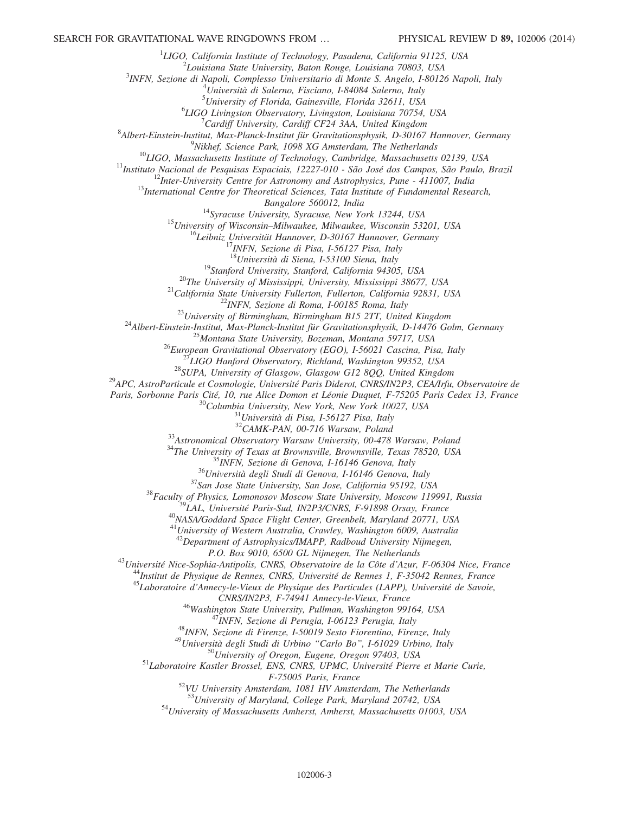<sup>1</sup>LIGO, California Institute of Technology, Pasadena, California 91125, USA<br> $\frac{2}{5}I$  quisique State University, Pator Pouce, Louisique 70803, USA

 $2$ Louisiana State University, Baton Rouge, Louisiana 70803, USA

<sup>3</sup>INFN, Sezione di Napoli, Complesso Universitario di Monte S. Angelo, I-80126 Napoli, Italy

 $^{4}$ Università di Salerno, Fisciano, I-84084 Salerno, Italy

<sup>5</sup> University of Florida, Gainesville, Florida 32611, USA  $^{6}$ LCO Livinaston Observatory, Livinaston Louisiana 70754

 ${}^{6}LIGO$  Livingston Observatory, Livingston, Louisiana 70754, USA<br><sup>7</sup> Cardiff University, Cardiff CF24 3AA, United Kingdom

 $^8$  Cardiff University, Cardiff CF24 3AA, United Kingdom<br> $^8$ <sup>8</sup> Nhert Finstein Institut, Max Planek Institut für Cravitationsphysik, D. 30167

Albert-Einstein-Institut, Max-Planck-Institut für Gravitationsphysik, D-30167 Hannover, Germany<br><sup>9</sup>Nikhaf, Seignes Bark, 1008 VC Amsterdam, The Natharlands

<sup>9</sup>Nikhef, Science Park, 1098 XG Amsterdam, The Netherlands<br><sup>10</sup>LIGO, Massachusetts Institute of Technology, Cambridge, Massachusetts 02139, USA<br><sup>11</sup>Instituto Nacional de Pesquisas Espaciais, 12227-010 - São José dos Camp

Bangalore 560012, India<br><sup>14</sup>Syracuse University, Syracuse, New York 13244, USA<br><sup>15</sup>University of Wisconsin–Milwaukee, Milwaukee, Wisconsin 53201, USA<br><sup>16</sup>Leibniz Universität Hannover, D-30167 Hannover, Germany<br><sup>17</sup>INFN, S

<sup>18</sup>Università di Siena, 1-53100 Siena, Italy<br><sup>19</sup>Stanford University, Stanford, California 94305, USA<br><sup>20</sup>The University of Mississippi, University, Mississippi 38677, USA<br><sup>21</sup>California State University Fullerton, Fulle

Paris, Sorbonne Paris Cité, 10, rue Alice Domon et Léonie Duquet, F-75205 Paris Cedex 13, France 30<br>
<sup>30</sup>Columbia University, New York, New York 10027, USA <sup>31</sup>Università di Pisa, I-56127 Pisa, Italy <sup>32</sup>CAMK-PAN, 00-716 W

<sup>33</sup>Astronomical Observatory Warsaw University, 00-478 Warsaw, Poland<br><sup>34</sup>The University of Texas at Brownsville, Brownsville, Texas 78520, USA<br><sup>35</sup>INFN, Sezione di Genova, I-16146 Genova, Italy<br><sup>36</sup>Università degli Studi

 $41$ University of Western Australia, Crawley, Washington 6009, Australia

<sup>42</sup>Department of Astrophysics/IMAPP, Radboud University Nijmegen,

<sup>43</sup>Université Nice-Sophia-Antipolis, CNRS, Observatoire de la Côte d'Azur, F-06304 Nice, France<br><sup>44</sup>Institut de Physique de Rennes, CNRS, Université de Rennes 1, F-35042 Rennes, France<br><sup>45</sup>Laboratoire d'Annecy-le-Vieux d

 $CNRS/IN2P3$ , F-74941 Annecy-le-Vieux, France<br>  $^{46}$ Washington State University, Pullman, Washington 99164, USA<br>  $^{47}$ INFN, Sezione di Perugia, I-06123 Perugia, Italy<br>  $^{48}$ INFN, Sezione di Firenze, I-50019 Sesto Fiorent

 $F-75005$  Paris, France<br><sup>52</sup>VU University Amsterdam, 1081 HV Amsterdam, The Netherlands<br><sup>53</sup>University of Maryland, College Park, Maryland 20742, USA

54 University of Massachusetts Amherst, Amherst, Massachusetts 01003, USA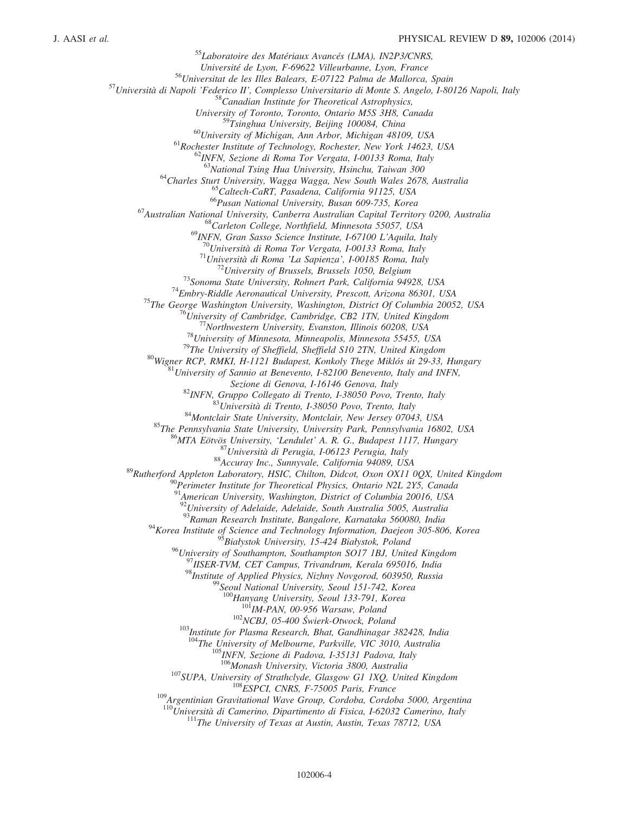<sup>55</sup>Laboratoire des Matériaux Avancés (LMA), IN2P3/CNRS,<br>Université de Lyon, F-69622 Villeurbanne, Lyon, France <sup>56</sup>Universitat de les Illes Balears, E-07122 Palma de Mallorca, Spain<br><sup>57</sup>Università di Napoli 'Federico II', Complesso Universitario di Monte S. Angelo, I-80126 Napoli, Italy<sup>58</sup>Canadian Institute for Theoretical Astrop University of Toronto, Toronto, Ontario M5S 3H8, Canada<br><sup>59</sup>Tsinghua University, Beijing 100084, China <sup>60</sup>University of Michigan, Ann Arbor, Michigan 48109, USA<br><sup>61</sup>Rochester Institute of Technology, Rochester, New York 14623, USA<br><sup>62</sup>INFN, Sezione di Roma Tor Vergata, I-00133 Roma, Italy<br><sup>63</sup>National Tsing Hua University <sup>64</sup>Charles Sturt University, Wagga Wagga, New South Wales 2678, Australia<br><sup>65</sup>Caltech-CaRT, Pasadena, California 91125, USA<br><sup>66</sup>Pusan National University, Busan 609-735, Korea<br><sup>67</sup>Australian National University, Canberra <sup>69</sup>INFN, Gran Sasso Science Institute, 1-67100 L'Aquila, Italy<br><sup>70</sup>Università di Roma Tor Vergata, 1-00133 Roma, Italy<br><sup>71</sup>Università di Roma Tor Vergata, 1-00133 Roma, Italy<br><sup>71</sup>Università di Roma 'La Sapienza', 1-00185 Sezione di Genova, 1-16146 Genova, Italy<br>
<sup>82</sup>INFN, Gruppo Collegato di Trento, 1-38050 Povo, Trento, Italy<br>
<sup>83</sup>Università di Trento, 1-38050 Povo, Trento, Italy<br>
<sup>84</sup>Montclair State University, Montclair, New Jersey 0704  $^{91}$ American University, Washington, District of Columbia 20016, USA 92<br>University of Adelaide, Adelaide, South Australia 5005, Australia<br><sup>93</sup>Raman Research Institute, Bangalore, Karnataka 560080, India  $94$ Korea Institute of Science and Technology Information, Daejeon 305-806, Korea <sup>95</sup>Białystok University, 15-424 Białystok, Poland<br><sup>96</sup>University of Southampton, Southampton SO17 1BJ, United Kingdom <sup>97</sup>IISER-TVM, CET Campus, Trivandrum, Kerala 695016, India<br><sup>98</sup>Institute of Applied Physics, Nizhny Novgorod, 603950, Russia<br><sup>99</sup>Seoul National University, Seoul 151-742, Korea<br><sup>99</sup>Seoul National University, Seoul 133-79 <sup>101</sup><sub>IM-PAN, 00-956 Warsaw, Poland<br><sup>102</sup>NCBJ, 05-400 Świerk-Otwock, Poland<br><sup>103</sup>Institute for Plasma Research, Bhat, Gandhinagar 382428, India</sub> <sup>104</sup>The University of Melbourne, Parkville, VIC 3010, Australia<br><sup>105</sup>INFN, Sezione di Padova, I-35131 Padova, Italy<br><sup>106</sup>Monash University, Victoria 3800, Australia <sup>107</sup>SUPA, University of Strathclyde, Glasgow G1 1XQ, United Kingdom<br><sup>108</sup>ESPCI, CNRS, F-75005 Paris, France<br><sup>109</sup>Argentinian Gravitational Wave Group, Cordoba, Cordoba 5000, Argentina 110<br>Università di Camerino, Dipartimento di Fisica, I-62032 Camerino, Italy<br><sup>111</sup>The University of Texas at Austin, Austin, Texas 78712, USA

102006-4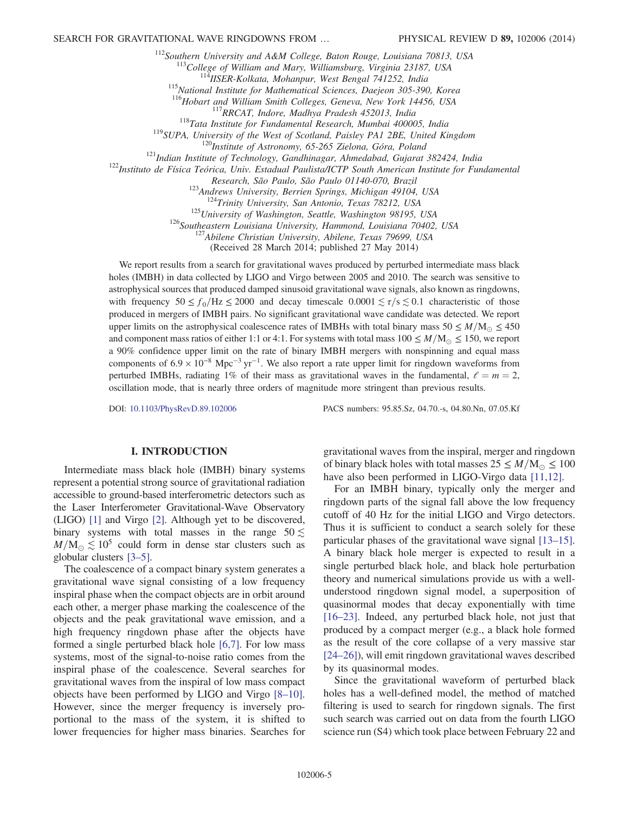<sup>112</sup>Southern University and A&M College, Baton Rouge, Louisiana 70813, USA<br><sup>113</sup>College of William and Mary, Williamsburg, Virginia 23187, USA<br><sup>114</sup>IISER-Kolkata, Mohanpur, West Bengal 741252, India<br><sup>115</sup>National Institu

<sup>113</sup> Tata Institute for Fundamental Research, Mumbai 400005, India<br><sup>119</sup> SUPA, University of the West of Scotland, Paisley PA1 2BE, United Kingdom<br><sup>119</sup> SUPA, University of the West of Scotland, Paisley PA1 2BE, United K

Research, São Paulo, São Paulo 01140-070, Brazil<br><sup>123</sup>Andrews University, Berrien Springs, Michigan 49104, USA<br><sup>124</sup>Trinity University, San Antonio, Texas 78212, USA<br><sup>125</sup>University of Washington, Seattle, Washington 98195

(Received 28 March 2014; published 27 May 2014)

We report results from a search for gravitational waves produced by perturbed intermediate mass black holes (IMBH) in data collected by LIGO and Virgo between 2005 and 2010. The search was sensitive to astrophysical sources that produced damped sinusoid gravitational wave signals, also known as ringdowns, with frequency  $50 \le f_0/Hz \le 2000$  and decay timescale  $0.0001 \le \tau/s \le 0.1$  characteristic of those produced in mergers of IMBH pairs. No significant gravitational wave candidate was detected. We report upper limits on the astrophysical coalescence rates of IMBHs with total binary mass  $50 \le M/M_{\odot} \le 450$ and component mass ratios of either 1:1 or 4:1. For systems with total mass  $100 \le M/M_{\odot} \le 150$ , we report a 90% confidence upper limit on the rate of binary IMBH mergers with nonspinning and equal mass components of  $6.9 \times 10^{-8}$  Mpc<sup>-3</sup> yr<sup>-1</sup>. We also report a rate upper limit for ringdown waveforms from perturbed IMBHs, radiating 1% of their mass as gravitational waves in the fundamental,  $\ell = m = 2$ , oscillation mode, that is nearly three orders of magnitude more stringent than previous results.

DOI: [10.1103/PhysRevD.89.102006](http://dx.doi.org/10.1103/PhysRevD.89.102006) PACS numbers: 95.85.Sz, 04.70.-s, 04.80.Nn, 07.05.Kf

## I. INTRODUCTION

Intermediate mass black hole (IMBH) binary systems represent a potential strong source of gravitational radiation accessible to ground-based interferometric detectors such as the Laser Interferometer Gravitational-Wave Observatory (LIGO) [\[1\]](#page-15-0) and Virgo [\[2\].](#page-15-1) Although yet to be discovered, binary systems with total masses in the range  $50 \lesssim$  $M/M_{\odot} \lesssim 10^5$  could form in dense star clusters such as globular clusters [3–[5\].](#page-15-2)

The coalescence of a compact binary system generates a gravitational wave signal consisting of a low frequency inspiral phase when the compact objects are in orbit around each other, a merger phase marking the coalescence of the objects and the peak gravitational wave emission, and a high frequency ringdown phase after the objects have formed a single perturbed black hole [\[6,7\]](#page-15-3). For low mass systems, most of the signal-to-noise ratio comes from the inspiral phase of the coalescence. Several searches for gravitational waves from the inspiral of low mass compact objects have been performed by LIGO and Virgo [8–[10\]](#page-15-4). However, since the merger frequency is inversely proportional to the mass of the system, it is shifted to lower frequencies for higher mass binaries. Searches for gravitational waves from the inspiral, merger and ringdown of binary black holes with total masses  $25 \leq M/M_{\odot} \leq 100$ have also been performed in LIGO-Virgo data [\[11,12\]](#page-15-5).

For an IMBH binary, typically only the merger and ringdown parts of the signal fall above the low frequency cutoff of 40 Hz for the initial LIGO and Virgo detectors. Thus it is sufficient to conduct a search solely for these particular phases of the gravitational wave signal [\[13](#page-15-6)–15]. A binary black hole merger is expected to result in a single perturbed black hole, and black hole perturbation theory and numerical simulations provide us with a wellunderstood ringdown signal model, a superposition of quasinormal modes that decay exponentially with time [\[16](#page-15-7)–23]. Indeed, any perturbed black hole, not just that produced by a compact merger (e.g., a black hole formed as the result of the core collapse of a very massive star [\[24](#page-15-8)–26]), will emit ringdown gravitational waves described by its quasinormal modes.

Since the gravitational waveform of perturbed black holes has a well-defined model, the method of matched filtering is used to search for ringdown signals. The first such search was carried out on data from the fourth LIGO science run (S4) which took place between February 22 and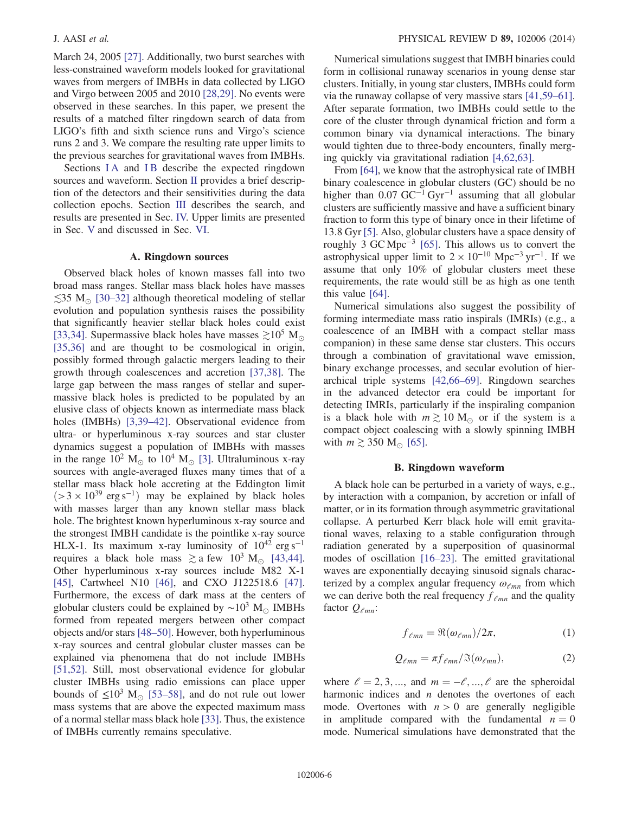March 24, 2005 [\[27\].](#page-15-9) Additionally, two burst searches with less-constrained waveform models looked for gravitational waves from mergers of IMBHs in data collected by LIGO and Virgo between 2005 and 2010 [\[28,29\].](#page-15-10) No events were observed in these searches. In this paper, we present the results of a matched filter ringdown search of data from LIGO's fifth and sixth science runs and Virgo's science runs 2 and 3. We compare the resulting rate upper limits to the previous searches for gravitational waves from IMBHs.

Sections IA and IB describe the expected ringdown sources and waveform. Section [II](#page-6-0) provides a brief description of the detectors and their sensitivities during the data collection epochs. Section [III](#page-8-0) describes the search, and results are presented in Sec. [IV.](#page-9-0) Upper limits are presented in Sec. [V](#page-10-0) and discussed in Sec. [VI](#page-13-0).

#### A. Ringdown sources

<span id="page-5-0"></span>Observed black holes of known masses fall into two broad mass ranges. Stellar mass black holes have masses  $\lesssim$ 35 M<sub>☉</sub> [\[30](#page-15-11)–32] although theoretical modeling of stellar evolution and population synthesis raises the possibility that significantly heavier stellar black holes could exist [\[33,34\]](#page-15-12). Supermassive black holes have masses  $\geq 10^5$  M<sub>o</sub> [\[35,36\]](#page-15-13) and are thought to be cosmological in origin, possibly formed through galactic mergers leading to their growth through coalescences and accretion [\[37,38\].](#page-15-14) The large gap between the mass ranges of stellar and supermassive black holes is predicted to be populated by an elusive class of objects known as intermediate mass black holes (IMBHs) [\[3,39](#page-15-2)–42]. Observational evidence from ultra- or hyperluminous x-ray sources and star cluster dynamics suggest a population of IMBHs with masses in the range  $10^2$  M<sub> $\odot$ </sub> to  $10^4$  M<sub> $\odot$ </sub> [\[3\].](#page-15-2) Ultraluminous x-ray sources with angle-averaged fluxes many times that of a stellar mass black hole accreting at the Eddington limit  $(>3 \times 10^{39} \text{ erg s}^{-1})$  may be explained by black holes with masses larger than any known stellar mass black hole. The brightest known hyperluminous x-ray source and the strongest IMBH candidate is the pointlike x-ray source HLX-1. Its maximum x-ray luminosity of  $10^{42}$  erg s<sup>-1</sup> requires a black hole mass  $\gtrsim$  a few 10<sup>3</sup> M<sub>o</sub> [\[43,44\]](#page-15-15). Other hyperluminous x-ray sources include M82 X-1 [\[45\]](#page-16-0), Cartwheel N10 [\[46\],](#page-16-1) and CXO J122518.6 [\[47\]](#page-16-2). Furthermore, the excess of dark mass at the centers of globular clusters could be explained by  $\sim 10^3$  M<sub>☉</sub> IMBHs formed from repeated mergers between other compact objects and/or stars [48–[50\].](#page-16-3) However, both hyperluminous x-ray sources and central globular cluster masses can be explained via phenomena that do not include IMBHs [\[51,52\]](#page-16-4). Still, most observational evidence for globular cluster IMBHs using radio emissions can place upper bounds of  $\leq 10^3$  M<sub>o</sub> [\[53](#page-16-5)–58], and do not rule out lower mass systems that are above the expected maximum mass of a normal stellar mass black hole [\[33\]](#page-15-12). Thus, the existence of IMBHs currently remains speculative.

Numerical simulations suggest that IMBH binaries could form in collisional runaway scenarios in young dense star clusters. Initially, in young star clusters, IMBHs could form via the runaway collapse of very massive stars [\[41,59](#page-15-16)–61]. After separate formation, two IMBHs could settle to the core of the cluster through dynamical friction and form a common binary via dynamical interactions. The binary would tighten due to three-body encounters, finally merging quickly via gravitational radiation [\[4,62,63\].](#page-15-17)

From [\[64\],](#page-16-6) we know that the astrophysical rate of IMBH binary coalescence in globular clusters (GC) should be no higher than  $0.07 \text{ GC}^{-1} \text{Gyr}^{-1}$  assuming that all globular clusters are sufficiently massive and have a sufficient binary fraction to form this type of binary once in their lifetime of 13.8 Gyr [\[5\].](#page-15-18) Also, globular clusters have a space density of roughly 3 GC Mpc<sup>-3</sup> [\[65\].](#page-16-7) This allows us to convert the astrophysical upper limit to  $2 \times 10^{-10}$  Mpc<sup>-3</sup> yr<sup>-1</sup>. If we assume that only 10% of globular clusters meet these requirements, the rate would still be as high as one tenth this value [\[64\].](#page-16-6)

Numerical simulations also suggest the possibility of forming intermediate mass ratio inspirals (IMRIs) (e.g., a coalescence of an IMBH with a compact stellar mass companion) in these same dense star clusters. This occurs through a combination of gravitational wave emission, binary exchange processes, and secular evolution of hierarchical triple systems [\[42,66](#page-15-19)–69]. Ringdown searches in the advanced detector era could be important for detecting IMRIs, particularly if the inspiraling companion is a black hole with  $m \gtrsim 10$  M<sub> $\odot$ </sub> or if the system is a compact object coalescing with a slowly spinning IMBH with  $m \gtrsim 350$  M<sub>o</sub> [\[65\].](#page-16-7)

## B. Ringdown waveform

<span id="page-5-1"></span>A black hole can be perturbed in a variety of ways, e.g., by interaction with a companion, by accretion or infall of matter, or in its formation through asymmetric gravitational collapse. A perturbed Kerr black hole will emit gravitational waves, relaxing to a stable configuration through radiation generated by a superposition of quasinormal modes of oscillation [\[16](#page-15-7)–23]. The emitted gravitational waves are exponentially decaying sinusoid signals characterized by a complex angular frequency  $\omega_{\ell mn}$  from which we can derive both the real frequency  $f_{\ell mn}$  and the quality factor  $Q_{\ell mn}$ :

$$
f_{\ell mn} = \Re(\omega_{\ell mn})/2\pi, \tag{1}
$$

$$
Q_{\ell mn} = \pi f_{\ell mn} / \Im(\omega_{\ell mn}), \qquad (2)
$$

where  $l = 2, 3, ...,$  and  $m = -l, ..., l$  are the spheroidal harmonic indices and  $n$  denotes the overtones of each mode. Overtones with  $n > 0$  are generally negligible in amplitude compared with the fundamental  $n = 0$ mode. Numerical simulations have demonstrated that the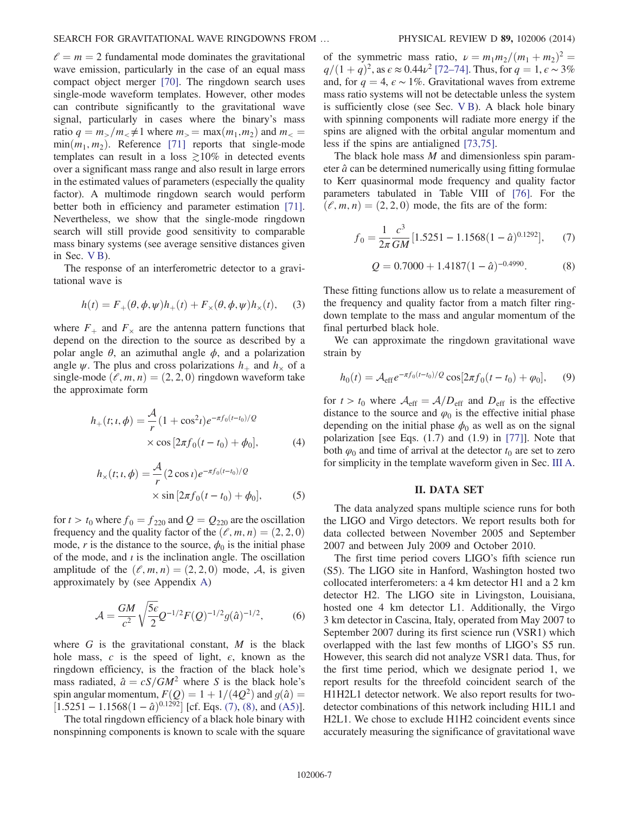$l = m = 2$  fundamental mode dominates the gravitational wave emission, particularly in the case of an equal mass compact object merger [\[70\]](#page-16-8). The ringdown search uses single-mode waveform templates. However, other modes can contribute significantly to the gravitational wave signal, particularly in cases where the binary's mass ratio  $q = m_>/m_< \neq 1$  where  $m_>=$  max $(m_1, m_2)$  and  $m_<$  $min(m_1, m_2)$ . Reference [\[71\]](#page-16-9) reports that single-mode templates can result in a loss  $\geq 10\%$  in detected events over a significant mass range and also result in large errors in the estimated values of parameters (especially the quality factor). A multimode ringdown search would perform better both in efficiency and parameter estimation [\[71\]](#page-16-9). Nevertheless, we show that the single-mode ringdown search will still provide good sensitivity to comparable mass binary systems (see average sensitive distances given in Sec. [V B\)](#page-11-0).

<span id="page-6-4"></span>The response of an interferometric detector to a gravitational wave is

$$
h(t) = F_{+}(\theta, \phi, \psi)h_{+}(t) + F_{\times}(\theta, \phi, \psi)h_{\times}(t), \quad (3)
$$

where  $F_{+}$  and  $F_{\times}$  are the antenna pattern functions that depend on the direction to the source as described by a polar angle  $\theta$ , an azimuthal angle  $\phi$ , and a polarization angle  $\psi$ . The plus and cross polarizations  $h_+$  and  $h_{\times}$  of a single-mode  $(\ell, m, n) = (2, 2, 0)$  ringdown waveform take the approximate form

<span id="page-6-5"></span>
$$
h_{+}(t; t, \phi) = \frac{\mathcal{A}}{r} (1 + \cos^{2} t) e^{-\pi f_{0}(t - t_{0})/Q}
$$

$$
\times \cos [2\pi f_{0}(t - t_{0}) + \phi_{0}], \qquad (4)
$$

<span id="page-6-6"></span>
$$
h_{\times}(t; t, \phi) = \frac{\mathcal{A}}{r} (2 \cos t) e^{-\pi f_0(t - t_0)/Q}
$$
  
× sin  $[2\pi f_0(t - t_0) + \phi_0]$ , (5)

for  $t > t_0$  where  $f_0 = f_{220}$  and  $Q = Q_{220}$  are the oscillation frequency and the quality factor of the  $(\ell, m, n) = (2, 2, 0)$ mode, r is the distance to the source,  $\phi_0$  is the initial phase of the mode, and  $i$  is the inclination angle. The oscillation amplitude of the  $(\ell, m, n) = (2, 2, 0)$  mode, A, is given approximately by (see Appendix [A](#page-14-0))

$$
\mathcal{A} = \frac{GM}{c^2} \sqrt{\frac{5\epsilon}{2}} Q^{-1/2} F(Q)^{-1/2} g(\hat{a})^{-1/2},\tag{6}
$$

where  $G$  is the gravitational constant,  $M$  is the black hole mass, c is the speed of light,  $\epsilon$ , known as the ringdown efficiency, is the fraction of the black hole's mass radiated,  $\hat{a} = cS/GM^2$  where S is the black hole's spin angular momentum,  $F(Q) = 1 + 1/(4Q^2)$  and  $g(\hat{a}) =$  $[1.5251 - 1.1568(1 - \hat{a})^{0.1292}]$  [cf. Eqs. [\(7\),](#page-6-1) [\(8\)](#page-6-2), and [\(A5\)](#page-14-1)].

The total ringdown efficiency of a black hole binary with nonspinning components is known to scale with the square of the symmetric mass ratio,  $\nu = m_1 m_2/(m_1 + m_2)^2$  =  $q/(1 + q)^2$ , as  $\epsilon \approx 0.44\nu^2$  [\[72](#page-16-10)–74]. Thus, for  $q = 1, \epsilon \sim 3\%$ and, for  $q = 4$ ,  $\epsilon \sim 1\%$ . Gravitational waves from extreme mass ratio systems will not be detectable unless the system is sufficiently close (see Sec. [V B](#page-11-0)). A black hole binary with spinning components will radiate more energy if the spins are aligned with the orbital angular momentum and less if the spins are antialigned [\[73,75\].](#page-16-11)

The black hole mass  $M$  and dimensionless spin parameter  $\hat{a}$  can be determined numerically using fitting formulae to Kerr quasinormal mode frequency and quality factor parameters tabulated in Table VIII of [\[76\].](#page-16-12) For the  $(\ell, m, n) = (2, 2, 0)$  mode, the fits are of the form:

<span id="page-6-1"></span>
$$
f_0 = \frac{1}{2\pi} \frac{c^3}{GM} [1.5251 - 1.1568(1 - \hat{a})^{0.1292}], \tag{7}
$$

$$
Q = 0.7000 + 1.4187(1 - \hat{a})^{-0.4990}.
$$
 (8)

<span id="page-6-2"></span>These fitting functions allow us to relate a measurement of the frequency and quality factor from a match filter ringdown template to the mass and angular momentum of the final perturbed black hole.

<span id="page-6-3"></span>We can approximate the ringdown gravitational wave strain by

$$
h_0(t) = \mathcal{A}_{\text{eff}} e^{-\pi f_0(t - t_0)/Q} \cos[2\pi f_0(t - t_0) + \varphi_0], \quad (9)
$$

for  $t > t_0$  where  $A_{\text{eff}} = A/D_{\text{eff}}$  and  $D_{\text{eff}}$  is the effective distance to the source and  $\varphi_0$  is the effective initial phase depending on the initial phase  $\phi_0$  as well as on the signal polarization [see Eqs. (1.7) and (1.9) in [\[77\]\]](#page-16-13). Note that both  $\varphi_0$  and time of arrival at the detector  $t_0$  are set to zero for simplicity in the template waveform given in Sec. [III A](#page-8-1).

## II. DATA SET

<span id="page-6-0"></span>The data analyzed spans multiple science runs for both the LIGO and Virgo detectors. We report results both for data collected between November 2005 and September 2007 and between July 2009 and October 2010.

The first time period covers LIGO's fifth science run (S5). The LIGO site in Hanford, Washington hosted two collocated interferometers: a 4 km detector H1 and a 2 km detector H2. The LIGO site in Livingston, Louisiana, hosted one 4 km detector L1. Additionally, the Virgo 3 km detector in Cascina, Italy, operated from May 2007 to September 2007 during its first science run (VSR1) which overlapped with the last few months of LIGO's S5 run. However, this search did not analyze VSR1 data. Thus, for the first time period, which we designate period 1, we report results for the threefold coincident search of the H1H2L1 detector network. We also report results for twodetector combinations of this network including H1L1 and H2L1. We chose to exclude H1H2 coincident events since accurately measuring the significance of gravitational wave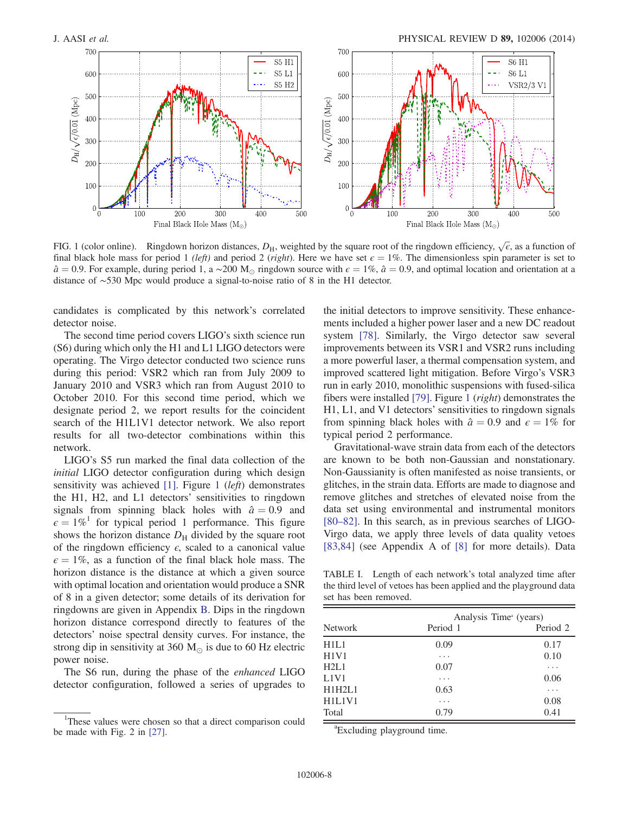<span id="page-7-0"></span>

FIG. 1 (color online). Ringdown horizon distances,  $D_H$ , weighted by the square root of the ringdown efficiency,  $\sqrt{\epsilon}$ , as a function of final black hole mass for period 1 (left) and period 2 (right). Here we have set  $\epsilon = 1\%$ . The dimensionless spin parameter is set to  $\hat{a} = 0.9$ . For example, during period 1, a ~200 M<sub>☉</sub> ringdown source with  $\epsilon = 1\%$ ,  $\hat{a} = 0.9$ , and optimal location and orientation at a distance of ∼530 Mpc would produce a signal-to-noise ratio of 8 in the H1 detector.

candidates is complicated by this network's correlated detector noise.

The second time period covers LIGO's sixth science run (S6) during which only the H1 and L1 LIGO detectors were operating. The Virgo detector conducted two science runs during this period: VSR2 which ran from July 2009 to January 2010 and VSR3 which ran from August 2010 to October 2010. For this second time period, which we designate period 2, we report results for the coincident search of the H1L1V1 detector network. We also report results for all two-detector combinations within this network.

LIGO's S5 run marked the final data collection of the initial LIGO detector configuration during which design sensitivity was achieved [\[1\]](#page-15-0). Figure [1](#page-7-0) (left) demonstrates the H1, H2, and L1 detectors' sensitivities to ringdown signals from spinning black holes with  $\hat{a} = 0.9$  and  $\epsilon = 1\%$ <sup>1</sup> for typical period 1 performance. This figure shows the horizon distance  $D_H$  divided by the square root of the ringdown efficiency  $\epsilon$ , scaled to a canonical value  $\epsilon = 1\%$ , as a function of the final black hole mass. The horizon distance is the distance at which a given source with optimal location and orientation would produce a SNR of 8 in a given detector; some details of its derivation for ringdowns are given in Appendix [B](#page-14-2). Dips in the ringdown horizon distance correspond directly to features of the detectors' noise spectral density curves. For instance, the strong dip in sensitivity at 360  $M_{\odot}$  is due to 60 Hz electric power noise.

The S6 run, during the phase of the enhanced LIGO detector configuration, followed a series of upgrades to the initial detectors to improve sensitivity. These enhancements included a higher power laser and a new DC readout system [\[78\]](#page-16-14). Similarly, the Virgo detector saw several improvements between its VSR1 and VSR2 runs including a more powerful laser, a thermal compensation system, and improved scattered light mitigation. Before Virgo's VSR3 run in early 2010, monolithic suspensions with fused-silica fibers were installed [\[79\]](#page-16-15). Figure [1](#page-7-0) (right) demonstrates the H1, L1, and V1 detectors' sensitivities to ringdown signals from spinning black holes with  $\hat{a} = 0.9$  and  $\epsilon = 1\%$  for typical period 2 performance.

Gravitational-wave strain data from each of the detectors are known to be both non-Gaussian and nonstationary. Non-Gaussianity is often manifested as noise transients, or glitches, in the strain data. Efforts are made to diagnose and remove glitches and stretches of elevated noise from the data set using environmental and instrumental monitors [\[80](#page-16-16)–82]. In this search, as in previous searches of LIGO-Virgo data, we apply three levels of data quality vetoes [\[83,84\]](#page-16-17) (see Appendix A of [\[8\]](#page-15-4) for more details). Data

<span id="page-7-1"></span>TABLE I. Length of each network's total analyzed time after the third level of vetoes has been applied and the playground data set has been removed.

| Network | Analysis Time <sup>a</sup> (years) |          |
|---------|------------------------------------|----------|
|         | Period 1                           | Period 2 |
| H1L1    | 0.09                               | 0.17     |
| H1V1    | .                                  | 0.10     |
| H2L1    | 0.07                               | .        |
| L1V1    | .                                  | 0.06     |
| H1H2L1  | 0.63                               | .        |
| H1L1V1  | .                                  | 0.08     |
| Total   | 0.79                               | 0.41     |

<sup>a</sup>Excluding playground time.

<sup>&</sup>lt;sup>1</sup>These values were chosen so that a direct comparison could be made with Fig. 2 in [\[27\].](#page-15-9)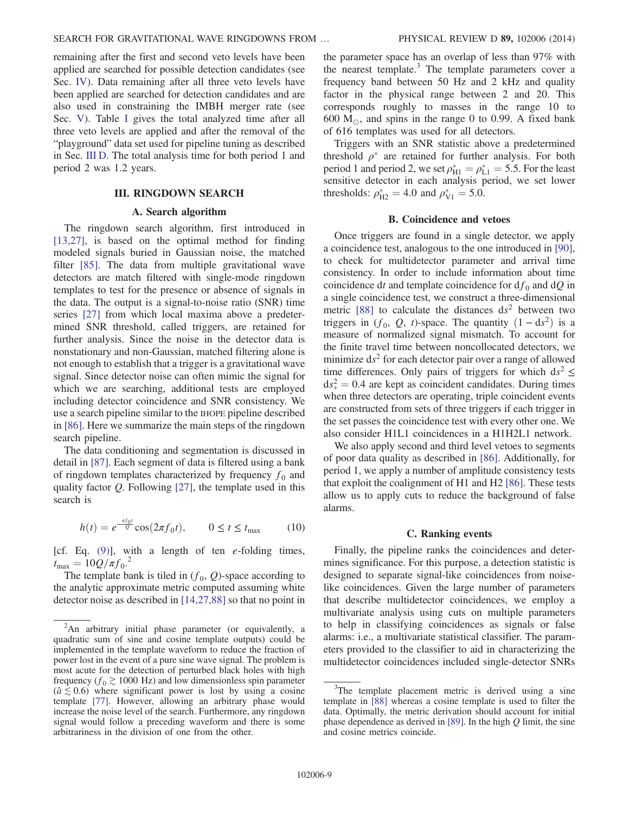remaining after the first and second veto levels have been applied are searched for possible detection candidates (see Sec. [IV\)](#page-9-0). Data remaining after all three veto levels have been applied are searched for detection candidates and are also used in constraining the IMBH merger rate (see Sec. [V](#page-10-0)). Table [I](#page-7-1) gives the total analyzed time after all three veto levels are applied and after the removal of the "playground" data set used for pipeline tuning as described in Sec. [III D.](#page-9-1) The total analysis time for both period 1 and period 2 was 1.2 years.

## III. RINGDOWN SEARCH

## A. Search algorithm

<span id="page-8-1"></span><span id="page-8-0"></span>The ringdown search algorithm, first introduced in [\[13,27\]](#page-15-6), is based on the optimal method for finding modeled signals buried in Gaussian noise, the matched filter [\[85\]](#page-16-18). The data from multiple gravitational wave detectors are match filtered with single-mode ringdown templates to test for the presence or absence of signals in the data. The output is a signal-to-noise ratio (SNR) time series [\[27\]](#page-15-9) from which local maxima above a predetermined SNR threshold, called triggers, are retained for further analysis. Since the noise in the detector data is nonstationary and non-Gaussian, matched filtering alone is not enough to establish that a trigger is a gravitational wave signal. Since detector noise can often mimic the signal for which we are searching, additional tests are employed including detector coincidence and SNR consistency. We use a search pipeline similar to the IHOPE pipeline described in [\[86\].](#page-16-19) Here we summarize the main steps of the ringdown search pipeline.

The data conditioning and segmentation is discussed in detail in [\[87\].](#page-16-20) Each segment of data is filtered using a bank of ringdown templates characterized by frequency  $f_0$  and quality factor  $Q$ . Following [\[27\],](#page-15-9) the template used in this search is

$$
h(t) = e^{-\frac{\pi f_0 t}{Q}} \cos(2\pi f_0 t), \qquad 0 \le t \le t_{\text{max}} \tag{10}
$$

[cf. Eq.  $(9)$ ], with a length of ten e-folding times,  $t_{\text{max}} = 10Q/\pi f_0^2$ .

The template bank is tiled in  $(f_0, Q)$ -space according to the analytic approximate metric computed assuming white detector noise as described in [\[14,27,88\]](#page-15-20) so that no point in the parameter space has an overlap of less than 97% with the nearest template.<sup>3</sup> The template parameters cover a frequency band between 50 Hz and 2 kHz and quality factor in the physical range between 2 and 20. This corresponds roughly to masses in the range 10 to 600  $M_{\odot}$ , and spins in the range 0 to 0.99. A fixed bank of 616 templates was used for all detectors.

Triggers with an SNR statistic above a predetermined threshold  $\rho^*$  are retained for further analysis. For both period 1 and period 2, we set  $\rho_{\text{H1}}^* = \rho_{\text{L1}}^* = 5.5$ . For the least sensitive detector in each analysis period, we set lower thresholds:  $\rho_{H2}^* = 4.0$  and  $\rho_{V1}^* = 5.0$ .

#### B. Coincidence and vetoes

Once triggers are found in a single detector, we apply a coincidence test, analogous to the one introduced in [\[90\]](#page-16-21), to check for multidetector parameter and arrival time consistency. In order to include information about time coincidence dt and template coincidence for  $df_0$  and  $dQ$  in a single coincidence test, we construct a three-dimensional metric [\[88\]](#page-16-22) to calculate the distances  $ds^2$  between two triggers in  $(f_0, Q, t)$ -space. The quantity  $(1 - ds^2)$  is a measure of normalized signal mismatch. To account for the finite travel time between noncollocated detectors, we minimize  $ds^2$  for each detector pair over a range of allowed time differences. Only pairs of triggers for which  $ds^2 \leq$  $ds_*^2 = 0.4$  are kept as coincident candidates. During times when three detectors are operating, triple coincident events are constructed from sets of three triggers if each trigger in the set passes the coincidence test with every other one. We also consider H1L1 coincidences in a H1H2L1 network.

We also apply second and third level vetoes to segments of poor data quality as described in [\[86\].](#page-16-19) Additionally, for period 1, we apply a number of amplitude consistency tests that exploit the coalignment of H1 and H2 [\[86\]](#page-16-19). These tests allow us to apply cuts to reduce the background of false alarms.

## C. Ranking events

Finally, the pipeline ranks the coincidences and determines significance. For this purpose, a detection statistic is designed to separate signal-like coincidences from noiselike coincidences. Given the large number of parameters that describe multidetector coincidences, we employ a multivariate analysis using cuts on multiple parameters to help in classifying coincidences as signals or false alarms: i.e., a multivariate statistical classifier. The parameters provided to the classifier to aid in characterizing the multidetector coincidences included single-detector SNRs

<sup>&</sup>lt;sup>2</sup>An arbitrary initial phase parameter (or equivalently, a quadratic sum of sine and cosine template outputs) could be implemented in the template waveform to reduce the fraction of power lost in the event of a pure sine wave signal. The problem is most acute for the detection of perturbed black holes with high frequency ( $f_0 \gtrsim 1000$  Hz) and low dimensionless spin parameter  $(a \le 0.6)$  where significant power is lost by using a cosine template [\[77\].](#page-16-13) However, allowing an arbitrary phase would increase the noise level of the search. Furthermore, any ringdown signal would follow a preceding waveform and there is some arbitrariness in the division of one from the other.

 $3$ The template placement metric is derived using a sine template in [\[88\]](#page-16-22) whereas a cosine template is used to filter the data. Optimally, the metric derivation should account for initial phase dependence as derived in [\[89\]](#page-16-23). In the high  $Q$  limit, the sine and cosine metrics coincide.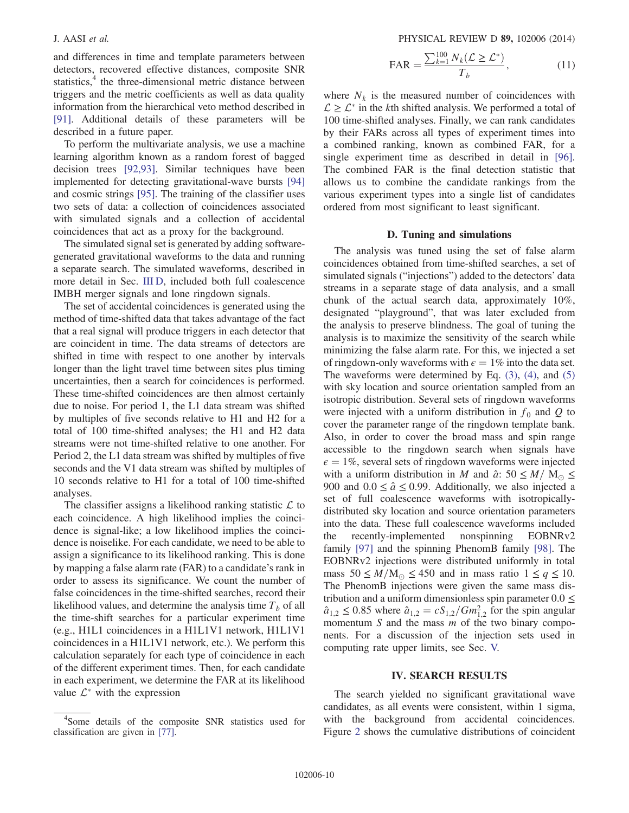and differences in time and template parameters between detectors, recovered effective distances, composite SNR statistics,<sup>4</sup> the three-dimensional metric distance between triggers and the metric coefficients as well as data quality information from the hierarchical veto method described in [\[91\]](#page-16-24). Additional details of these parameters will be described in a future paper.

To perform the multivariate analysis, we use a machine learning algorithm known as a random forest of bagged decision trees [\[92,93\]](#page-16-25). Similar techniques have been implemented for detecting gravitational-wave bursts [\[94\]](#page-16-26) and cosmic strings [\[95\].](#page-16-27) The training of the classifier uses two sets of data: a collection of coincidences associated with simulated signals and a collection of accidental coincidences that act as a proxy for the background.

The simulated signal set is generated by adding softwaregenerated gravitational waveforms to the data and running a separate search. The simulated waveforms, described in more detail in Sec. [III D,](#page-9-1) included both full coalescence IMBH merger signals and lone ringdown signals.

The set of accidental coincidences is generated using the method of time-shifted data that takes advantage of the fact that a real signal will produce triggers in each detector that are coincident in time. The data streams of detectors are shifted in time with respect to one another by intervals longer than the light travel time between sites plus timing uncertainties, then a search for coincidences is performed. These time-shifted coincidences are then almost certainly due to noise. For period 1, the L1 data stream was shifted by multiples of five seconds relative to H1 and H2 for a total of 100 time-shifted analyses; the H1 and H2 data streams were not time-shifted relative to one another. For Period 2, the L1 data stream was shifted by multiples of five seconds and the V1 data stream was shifted by multiples of 10 seconds relative to H1 for a total of 100 time-shifted analyses.

The classifier assigns a likelihood ranking statistic  $\mathcal L$  to each coincidence. A high likelihood implies the coincidence is signal-like; a low likelihood implies the coincidence is noiselike. For each candidate, we need to be able to assign a significance to its likelihood ranking. This is done by mapping a false alarm rate (FAR) to a candidate's rank in order to assess its significance. We count the number of false coincidences in the time-shifted searches, record their likelihood values, and determine the analysis time  $T_b$  of all the time-shift searches for a particular experiment time (e.g., H1L1 coincidences in a H1L1V1 network, H1L1V1 coincidences in a H1L1V1 network, etc.). We perform this calculation separately for each type of coincidence in each of the different experiment times. Then, for each candidate in each experiment, we determine the FAR at its likelihood value  $\mathcal{L}^*$  with the expression

J. AASI et al. PHYSICAL REVIEW D 89, 102006 (2014)

$$
\text{FAR} = \frac{\sum_{k=1}^{100} N_k (\mathcal{L} \ge \mathcal{L}^*)}{T_b},\tag{11}
$$

where  $N_k$  is the measured number of coincidences with  $\mathcal{L} \geq \mathcal{L}^*$  in the kth shifted analysis. We performed a total of 100 time-shifted analyses. Finally, we can rank candidates by their FARs across all types of experiment times into a combined ranking, known as combined FAR, for a single experiment time as described in detail in [\[96\]](#page-16-28). The combined FAR is the final detection statistic that allows us to combine the candidate rankings from the various experiment types into a single list of candidates ordered from most significant to least significant.

#### D. Tuning and simulations

<span id="page-9-1"></span>The analysis was tuned using the set of false alarm coincidences obtained from time-shifted searches, a set of simulated signals ("injections") added to the detectors' data streams in a separate stage of data analysis, and a small chunk of the actual search data, approximately 10%, designated "playground", that was later excluded from the analysis to preserve blindness. The goal of tuning the analysis is to maximize the sensitivity of the search while minimizing the false alarm rate. For this, we injected a set of ringdown-only waveforms with  $\epsilon = 1\%$  into the data set. The waveforms were determined by Eq.  $(3)$ ,  $(4)$ , and  $(5)$ with sky location and source orientation sampled from an isotropic distribution. Several sets of ringdown waveforms were injected with a uniform distribution in  $f_0$  and Q to cover the parameter range of the ringdown template bank. Also, in order to cover the broad mass and spin range accessible to the ringdown search when signals have  $\epsilon = 1\%$ , several sets of ringdown waveforms were injected with a uniform distribution in M and  $\hat{a}$ : 50  $\leq M/N_{\odot} \leq$ 900 and  $0.0 \le \hat{a} \le 0.99$ . Additionally, we also injected a set of full coalescence waveforms with isotropicallydistributed sky location and source orientation parameters into the data. These full coalescence waveforms included the recently-implemented nonspinning EOBNRv2 family [\[97\]](#page-16-29) and the spinning PhenomB family [\[98\]](#page-17-0). The EOBNRv2 injections were distributed uniformly in total mass  $50 \leq M/M_{\odot} \leq 450$  and in mass ratio  $1 \leq q \leq 10$ . The PhenomB injections were given the same mass distribution and a uniform dimensionless spin parameter  $0.0 \le$  $\hat{a}_{1,2} \le 0.85$  where  $\hat{a}_{1,2} = cS_{1,2}/Gm_{1,2}^2$  for the spin angular momentum  $S$  and the mass  $m$  of the two binary components. For a discussion of the injection sets used in computing rate upper limits, see Sec. [V.](#page-10-0)

### IV. SEARCH RESULTS

<span id="page-9-0"></span>The search yielded no significant gravitational wave candidates, as all events were consistent, within 1 sigma, with the background from accidental coincidences. Figure [2](#page-10-1) shows the cumulative distributions of coincident

<sup>4</sup> Some details of the composite SNR statistics used for classification are given in [\[77\].](#page-16-13)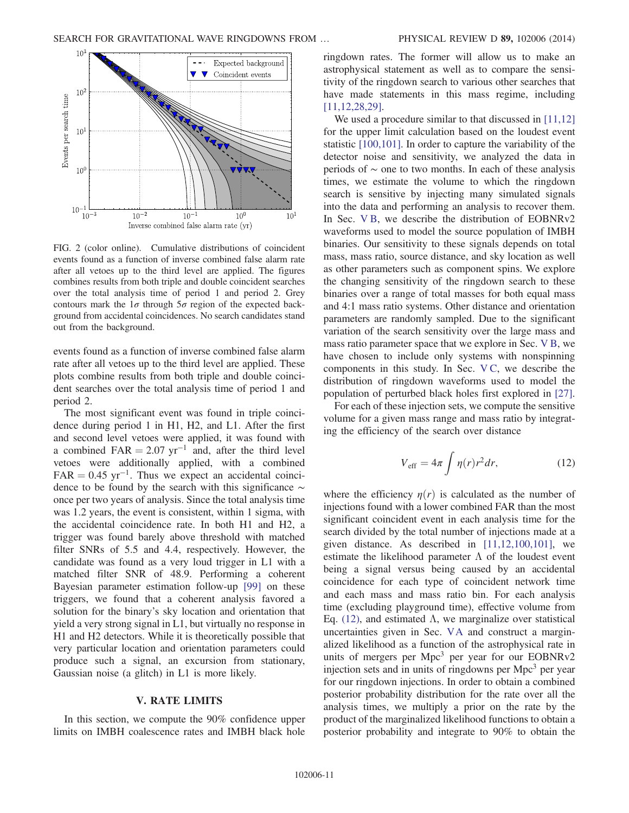<span id="page-10-1"></span>

FIG. 2 (color online). Cumulative distributions of coincident events found as a function of inverse combined false alarm rate after all vetoes up to the third level are applied. The figures combines results from both triple and double coincident searches over the total analysis time of period 1 and period 2. Grey contours mark the  $1\sigma$  through  $5\sigma$  region of the expected background from accidental coincidences. No search candidates stand out from the background.

events found as a function of inverse combined false alarm rate after all vetoes up to the third level are applied. These plots combine results from both triple and double coincident searches over the total analysis time of period 1 and period 2.

The most significant event was found in triple coincidence during period 1 in H1, H2, and L1. After the first and second level vetoes were applied, it was found with a combined FAR  $= 2.07$  yr<sup>-1</sup> and, after the third level vetoes were additionally applied, with a combined  $FAR = 0.45$  yr<sup>-1</sup>. Thus we expect an accidental coincidence to be found by the search with this significance ∼ once per two years of analysis. Since the total analysis time was 1.2 years, the event is consistent, within 1 sigma, with the accidental coincidence rate. In both H1 and H2, a trigger was found barely above threshold with matched filter SNRs of 5.5 and 4.4, respectively. However, the candidate was found as a very loud trigger in L1 with a matched filter SNR of 48.9. Performing a coherent Bayesian parameter estimation follow-up [\[99\]](#page-17-1) on these triggers, we found that a coherent analysis favored a solution for the binary's sky location and orientation that yield a very strong signal in L1, but virtually no response in H1 and H2 detectors. While it is theoretically possible that very particular location and orientation parameters could produce such a signal, an excursion from stationary, Gaussian noise (a glitch) in L1 is more likely.

# V. RATE LIMITS

<span id="page-10-0"></span>In this section, we compute the 90% confidence upper limits on IMBH coalescence rates and IMBH black hole ringdown rates. The former will allow us to make an astrophysical statement as well as to compare the sensitivity of the ringdown search to various other searches that have made statements in this mass regime, including [\[11,12,28,29\].](#page-15-5)

We used a procedure similar to that discussed in [\[11,12\]](#page-15-5) for the upper limit calculation based on the loudest event statistic [\[100,101\]](#page-17-2). In order to capture the variability of the detector noise and sensitivity, we analyzed the data in periods of ∼ one to two months. In each of these analysis times, we estimate the volume to which the ringdown search is sensitive by injecting many simulated signals into the data and performing an analysis to recover them. In Sec. [V B](#page-11-0), we describe the distribution of EOBNRv2 waveforms used to model the source population of IMBH binaries. Our sensitivity to these signals depends on total mass, mass ratio, source distance, and sky location as well as other parameters such as component spins. We explore the changing sensitivity of the ringdown search to these binaries over a range of total masses for both equal mass and 4:1 mass ratio systems. Other distance and orientation parameters are randomly sampled. Due to the significant variation of the search sensitivity over the large mass and mass ratio parameter space that we explore in Sec. [V B,](#page-11-0) we have chosen to include only systems with nonspinning components in this study. In Sec. [V C,](#page-12-0) we describe the distribution of ringdown waveforms used to model the population of perturbed black holes first explored in [\[27\]](#page-15-9).

<span id="page-10-2"></span>For each of these injection sets, we compute the sensitive volume for a given mass range and mass ratio by integrating the efficiency of the search over distance

$$
V_{\rm eff} = 4\pi \int \eta(r) r^2 dr,\tag{12}
$$

where the efficiency  $\eta(r)$  is calculated as the number of injections found with a lower combined FAR than the most significant coincident event in each analysis time for the search divided by the total number of injections made at a given distance. As described in [\[11,12,100,101\],](#page-15-5) we estimate the likelihood parameter  $\Lambda$  of the loudest event being a signal versus being caused by an accidental coincidence for each type of coincident network time and each mass and mass ratio bin. For each analysis time (excluding playground time), effective volume from Eq. [\(12\)](#page-10-2), and estimated Λ, we marginalize over statistical uncertainties given in Sec. [VA](#page-11-1) and construct a marginalized likelihood as a function of the astrophysical rate in units of mergers per  $Mpc<sup>3</sup>$  per year for our EOBNRv2 injection sets and in units of ringdowns per Mpc<sup>3</sup> per year for our ringdown injections. In order to obtain a combined posterior probability distribution for the rate over all the analysis times, we multiply a prior on the rate by the product of the marginalized likelihood functions to obtain a posterior probability and integrate to 90% to obtain the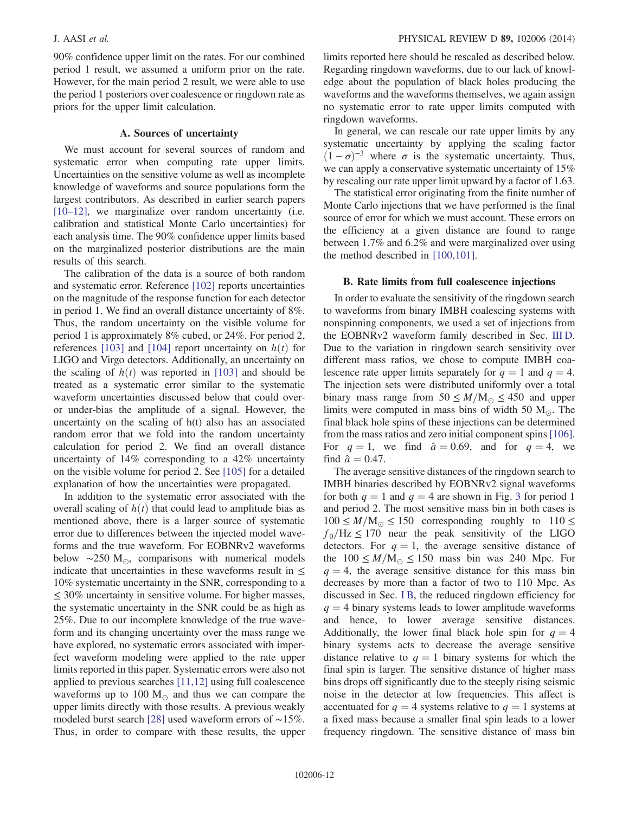90% confidence upper limit on the rates. For our combined period 1 result, we assumed a uniform prior on the rate. However, for the main period 2 result, we were able to use the period 1 posteriors over coalescence or ringdown rate as priors for the upper limit calculation.

## A. Sources of uncertainty

<span id="page-11-1"></span>We must account for several sources of random and systematic error when computing rate upper limits. Uncertainties on the sensitive volume as well as incomplete knowledge of waveforms and source populations form the largest contributors. As described in earlier search papers [\[10](#page-15-21)–12], we marginalize over random uncertainty (i.e. calibration and statistical Monte Carlo uncertainties) for each analysis time. The 90% confidence upper limits based on the marginalized posterior distributions are the main results of this search.

The calibration of the data is a source of both random and systematic error. Reference [\[102\]](#page-17-3) reports uncertainties on the magnitude of the response function for each detector in period 1. We find an overall distance uncertainty of 8%. Thus, the random uncertainty on the visible volume for period 1 is approximately 8% cubed, or 24%. For period 2, references [\[103\]](#page-17-4) and [\[104\]](#page-17-5) report uncertainty on  $h(t)$  for LIGO and Virgo detectors. Additionally, an uncertainty on the scaling of  $h(t)$  was reported in [\[103\]](#page-17-4) and should be treated as a systematic error similar to the systematic waveform uncertainties discussed below that could overor under-bias the amplitude of a signal. However, the uncertainty on the scaling of h(t) also has an associated random error that we fold into the random uncertainty calculation for period 2. We find an overall distance uncertainty of 14% corresponding to a 42% uncertainty on the visible volume for period 2. See [\[105\]](#page-17-6) for a detailed explanation of how the uncertainties were propagated.

In addition to the systematic error associated with the overall scaling of  $h(t)$  that could lead to amplitude bias as mentioned above, there is a larger source of systematic error due to differences between the injected model waveforms and the true waveform. For EOBNRv2 waveforms below  $\sim$ 250 M<sub>☉</sub>, comparisons with numerical models indicate that uncertainties in these waveforms result in  $\leq$ 10% systematic uncertainty in the SNR, corresponding to a  $\leq$  30% uncertainty in sensitive volume. For higher masses, the systematic uncertainty in the SNR could be as high as 25%. Due to our incomplete knowledge of the true waveform and its changing uncertainty over the mass range we have explored, no systematic errors associated with imperfect waveform modeling were applied to the rate upper limits reported in this paper. Systematic errors were also not applied to previous searches [\[11,12\]](#page-15-5) using full coalescence waveforms up to 100  $M_{\odot}$  and thus we can compare the upper limits directly with those results. A previous weakly modeled burst search [\[28\]](#page-15-10) used waveform errors of ∼15%. Thus, in order to compare with these results, the upper limits reported here should be rescaled as described below. Regarding ringdown waveforms, due to our lack of knowledge about the population of black holes producing the waveforms and the waveforms themselves, we again assign no systematic error to rate upper limits computed with ringdown waveforms.

In general, we can rescale our rate upper limits by any systematic uncertainty by applying the scaling factor  $(1 - \sigma)^{-3}$  where  $\sigma$  is the systematic uncertainty. Thus, we can apply a conservative systematic uncertainty of 15% by rescaling our rate upper limit upward by a factor of 1.63.

The statistical error originating from the finite number of Monte Carlo injections that we have performed is the final source of error for which we must account. These errors on the efficiency at a given distance are found to range between 1.7% and 6.2% and were marginalized over using the method described in [\[100,101\]](#page-17-2).

## <span id="page-11-0"></span>B. Rate limits from full coalescence injections

In order to evaluate the sensitivity of the ringdown search to waveforms from binary IMBH coalescing systems with nonspinning components, we used a set of injections from the EOBNRv2 waveform family described in Sec. [III D](#page-9-1). Due to the variation in ringdown search sensitivity over different mass ratios, we chose to compute IMBH coalescence rate upper limits separately for  $q = 1$  and  $q = 4$ . The injection sets were distributed uniformly over a total binary mass range from  $50 \leq M/M_{\odot} \leq 450$  and upper limits were computed in mass bins of width 50  $M_{\odot}$ . The final black hole spins of these injections can be determined from the mass ratios and zero initial component spins [\[106\]](#page-17-7). For  $q = 1$ , we find  $\hat{a} = 0.69$ , and for  $q = 4$ , we find  $\hat{a} = 0.47$ .

The average sensitive distances of the ringdown search to IMBH binaries described by EOBNRv2 signal waveforms for both  $q = 1$  and  $q = 4$  are shown in Fig. [3](#page-12-1) for period 1 and period 2. The most sensitive mass bin in both cases is  $100 \leq M/M_{\odot} \leq 150$  corresponding roughly to  $110 \leq$  $f_0$ /Hz  $\leq$  170 near the peak sensitivity of the LIGO detectors. For  $q = 1$ , the average sensitive distance of the  $100 \leq M/M_{\odot} \leq 150$  mass bin was 240 Mpc. For  $q = 4$ , the average sensitive distance for this mass bin decreases by more than a factor of two to 110 Mpc. As discussed in Sec. [I B,](#page-5-1) the reduced ringdown efficiency for  $q = 4$  binary systems leads to lower amplitude waveforms and hence, to lower average sensitive distances. Additionally, the lower final black hole spin for  $q = 4$ binary systems acts to decrease the average sensitive distance relative to  $q = 1$  binary systems for which the final spin is larger. The sensitive distance of higher mass bins drops off significantly due to the steeply rising seismic noise in the detector at low frequencies. This affect is accentuated for  $q = 4$  systems relative to  $q = 1$  systems at a fixed mass because a smaller final spin leads to a lower frequency ringdown. The sensitive distance of mass bin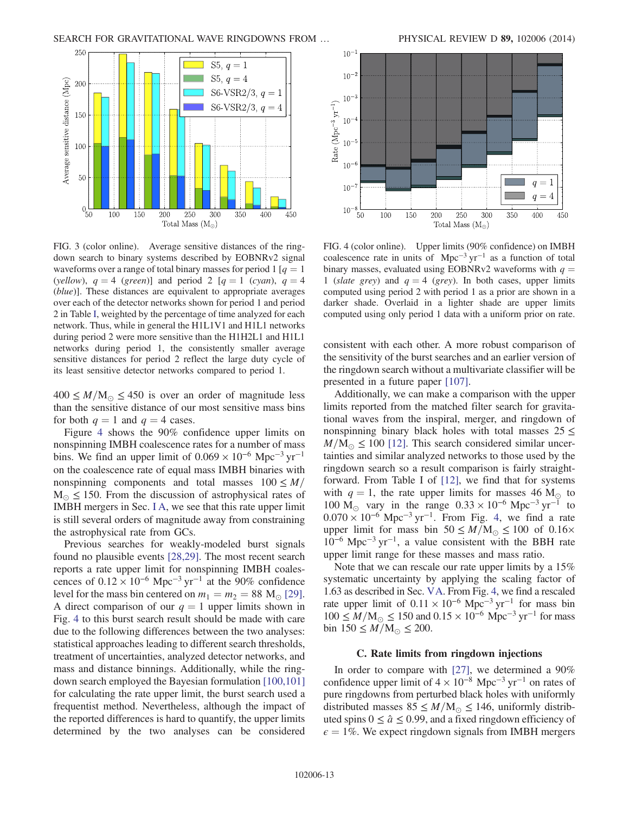<span id="page-12-1"></span>

FIG. 3 (color online). Average sensitive distances of the ringdown search to binary systems described by EOBNRv2 signal waveforms over a range of total binary masses for period 1 [ $q = 1$ ] (yellow),  $q = 4$  (green)] and period 2 [ $q = 1$  (cyan),  $q = 4$ (blue)]. These distances are equivalent to appropriate averages over each of the detector networks shown for period 1 and period 2 in Table [I,](#page-7-1) weighted by the percentage of time analyzed for each network. Thus, while in general the H1L1V1 and H1L1 networks during period 2 were more sensitive than the H1H2L1 and H1L1 networks during period 1, the consistently smaller average sensitive distances for period 2 reflect the large duty cycle of its least sensitive detector networks compared to period 1.

 $400 \leq M/M_{\odot} \leq 450$  is over an order of magnitude less than the sensitive distance of our most sensitive mass bins for both  $q = 1$  and  $q = 4$  cases.

Figure [4](#page-12-2) shows the 90% confidence upper limits on nonspinning IMBH coalescence rates for a number of mass bins. We find an upper limit of  $0.069 \times 10^{-6}$  Mpc<sup>-3</sup> yr<sup>-1</sup> on the coalescence rate of equal mass IMBH binaries with nonspinning components and total masses  $100 \leq M/$  $M_{\odot} \leq 150$ . From the discussion of astrophysical rates of IMBH mergers in Sec. [I A,](#page-5-0) we see that this rate upper limit is still several orders of magnitude away from constraining the astrophysical rate from GCs.

Previous searches for weakly-modeled burst signals found no plausible events [\[28,29\].](#page-15-10) The most recent search reports a rate upper limit for nonspinning IMBH coalescences of  $0.12 \times 10^{-6}$  Mpc<sup>-3</sup> yr<sup>-1</sup> at the 90% confidence level for the mass bin centered on  $m_1 = m_2 = 88$  M<sub>o</sub> [\[29\]](#page-15-22). A direct comparison of our  $q = 1$  upper limits shown in Fig. [4](#page-12-2) to this burst search result should be made with care due to the following differences between the two analyses: statistical approaches leading to different search thresholds, treatment of uncertainties, analyzed detector networks, and mass and distance binnings. Additionally, while the ringdown search employed the Bayesian formulation [\[100,101\]](#page-17-2) for calculating the rate upper limit, the burst search used a frequentist method. Nevertheless, although the impact of the reported differences is hard to quantify, the upper limits determined by the two analyses can be considered



<span id="page-12-2"></span>

FIG. 4 (color online). Upper limits (90% confidence) on IMBH coalescence rate in units of Mpc−<sup>3</sup> yr−<sup>1</sup> as a function of total binary masses, evaluated using EOBNRv2 waveforms with  $q =$ 1 (slate grey) and  $q = 4$  (grey). In both cases, upper limits computed using period 2 with period 1 as a prior are shown in a darker shade. Overlaid in a lighter shade are upper limits computed using only period 1 data with a uniform prior on rate.

consistent with each other. A more robust comparison of the sensitivity of the burst searches and an earlier version of the ringdown search without a multivariate classifier will be presented in a future paper [\[107\].](#page-17-8)

Additionally, we can make a comparison with the upper limits reported from the matched filter search for gravitational waves from the inspiral, merger, and ringdown of nonspinning binary black holes with total masses  $25 \le$  $M/M_{\odot} \leq 100$  [\[12\]](#page-15-23). This search considered similar uncertainties and similar analyzed networks to those used by the ringdown search so a result comparison is fairly straightforward. From Table I of [\[12\],](#page-15-23) we find that for systems with  $q = 1$ , the rate upper limits for masses 46 M<sub> $\odot$ </sub> to 100 M<sub>☉</sub> vary in the range  $0.33 \times 10^{-6}$  Mpc<sup>-3</sup> yr<sup>-1</sup> to  $0.070 \times 10^{-6}$  Mpc<sup>-3</sup> yr<sup>-1</sup>. From Fig. [4](#page-12-2), we find a rate upper limit for mass bin  $50 \leq M/M_{\odot} \leq 100$  of  $0.16\times$  $10^{-6}$  Mpc<sup>-3</sup> yr<sup>-1</sup>, a value consistent with the BBH rate upper limit range for these masses and mass ratio.

Note that we can rescale our rate upper limits by a 15% systematic uncertainty by applying the scaling factor of 1.63 as described in Sec. [VA](#page-11-1). From Fig. [4](#page-12-2), we find a rescaled rate upper limit of  $0.11 \times 10^{-6}$  Mpc<sup>-3</sup> yr<sup>-1</sup> for mass bin  $100 \leq M/M_{\odot} \leq 150$  and  $0.15 \times 10^{-6}$  Mpc<sup>-3</sup> yr<sup>-1</sup> for mass bin  $150 \le M/M_{\odot} \le 200$ .

## C. Rate limits from ringdown injections

<span id="page-12-0"></span>In order to compare with [\[27\]](#page-15-9), we determined a 90% confidence upper limit of  $4 \times 10^{-8}$  Mpc<sup>-3</sup> yr<sup>-1</sup> on rates of pure ringdowns from perturbed black holes with uniformly distributed masses  $85 \leq M/M_{\odot} \leq 146$ , uniformly distributed spins  $0 \le \hat{a} \le 0.99$ , and a fixed ringdown efficiency of  $\epsilon = 1\%$ . We expect ringdown signals from IMBH mergers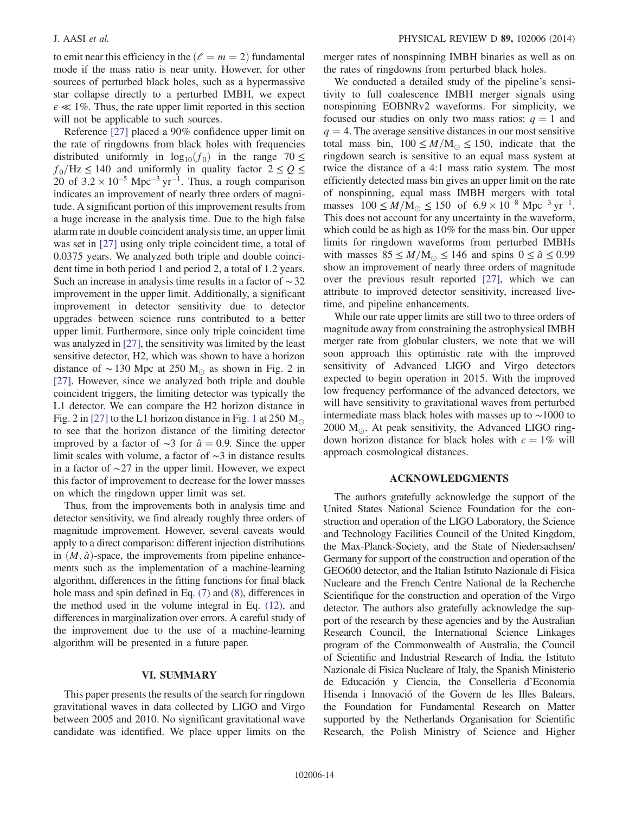to emit near this efficiency in the  $\ell = m = 2$  fundamental mode if the mass ratio is near unity. However, for other sources of perturbed black holes, such as a hypermassive star collapse directly to a perturbed IMBH, we expect  $\epsilon \ll 1\%$ . Thus, the rate upper limit reported in this section will not be applicable to such sources.

Reference [\[27\]](#page-15-9) placed a 90% confidence upper limit on the rate of ringdowns from black holes with frequencies distributed uniformly in  $log_{10}(f_0)$  in the range 70  $\leq$  $f_0$ /Hz  $\leq$  140 and uniformly in quality factor  $2 \leq Q \leq$ 20 of  $3.2 \times 10^{-5}$  Mpc<sup>-3</sup> yr<sup>-1</sup>. Thus, a rough comparison indicates an improvement of nearly three orders of magnitude. A significant portion of this improvement results from a huge increase in the analysis time. Due to the high false alarm rate in double coincident analysis time, an upper limit was set in [\[27\]](#page-15-9) using only triple coincident time, a total of 0.0375 years. We analyzed both triple and double coincident time in both period 1 and period 2, a total of 1.2 years. Such an increase in analysis time results in a factor of ∼32 improvement in the upper limit. Additionally, a significant improvement in detector sensitivity due to detector upgrades between science runs contributed to a better upper limit. Furthermore, since only triple coincident time was analyzed in [\[27\],](#page-15-9) the sensitivity was limited by the least sensitive detector, H2, which was shown to have a horizon distance of ~130 Mpc at 250 M<sub>☉</sub> as shown in Fig. 2 in [\[27\]](#page-15-9). However, since we analyzed both triple and double coincident triggers, the limiting detector was typically the L1 detector. We can compare the H2 horizon distance in Fig. 2 in [\[27\]](#page-15-9) to the L[1](#page-7-0) horizon distance in Fig. 1 at 250  $M_{\odot}$ to see that the horizon distance of the limiting detector improved by a factor of  $\sim$ 3 for  $\hat{a} = 0.9$ . Since the upper limit scales with volume, a factor of ∼3 in distance results in a factor of ∼27 in the upper limit. However, we expect this factor of improvement to decrease for the lower masses on which the ringdown upper limit was set.

Thus, from the improvements both in analysis time and detector sensitivity, we find already roughly three orders of magnitude improvement. However, several caveats would apply to a direct comparison: different injection distributions in  $(M, \hat{a})$ -space, the improvements from pipeline enhancements such as the implementation of a machine-learning algorithm, differences in the fitting functions for final black hole mass and spin defined in Eq. [\(7\)](#page-6-1) and [\(8\),](#page-6-2) differences in the method used in the volume integral in Eq. [\(12\)](#page-10-2), and differences in marginalization over errors. A careful study of the improvement due to the use of a machine-learning algorithm will be presented in a future paper.

#### VI. SUMMARY

<span id="page-13-0"></span>This paper presents the results of the search for ringdown gravitational waves in data collected by LIGO and Virgo between 2005 and 2010. No significant gravitational wave candidate was identified. We place upper limits on the merger rates of nonspinning IMBH binaries as well as on the rates of ringdowns from perturbed black holes.

We conducted a detailed study of the pipeline's sensitivity to full coalescence IMBH merger signals using nonspinning EOBNRv2 waveforms. For simplicity, we focused our studies on only two mass ratios:  $q = 1$  and  $q = 4$ . The average sensitive distances in our most sensitive total mass bin,  $100 \leq M/M_{\odot} \leq 150$ , indicate that the ringdown search is sensitive to an equal mass system at twice the distance of a 4:1 mass ratio system. The most efficiently detected mass bin gives an upper limit on the rate of nonspinning, equal mass IMBH mergers with total masses  $100 \leq M/M_{\odot} \leq 150$  of  $6.9 \times 10^{-8}$  Mpc<sup>-3</sup> yr<sup>-1</sup>. This does not account for any uncertainty in the waveform, which could be as high as 10% for the mass bin. Our upper limits for ringdown waveforms from perturbed IMBHs with masses  $85 \leq M/M_{\odot} \leq 146$  and spins  $0 \leq \hat{a} \leq 0.99$ show an improvement of nearly three orders of magnitude over the previous result reported [\[27\],](#page-15-9) which we can attribute to improved detector sensitivity, increased livetime, and pipeline enhancements.

While our rate upper limits are still two to three orders of magnitude away from constraining the astrophysical IMBH merger rate from globular clusters, we note that we will soon approach this optimistic rate with the improved sensitivity of Advanced LIGO and Virgo detectors expected to begin operation in 2015. With the improved low frequency performance of the advanced detectors, we will have sensitivity to gravitational waves from perturbed intermediate mass black holes with masses up to ∼1000 to 2000  $M_{\odot}$ . At peak sensitivity, the Advanced LIGO ringdown horizon distance for black holes with  $\epsilon = 1\%$  will approach cosmological distances.

## ACKNOWLEDGMENTS

The authors gratefully acknowledge the support of the United States National Science Foundation for the construction and operation of the LIGO Laboratory, the Science and Technology Facilities Council of the United Kingdom, the Max-Planck-Society, and the State of Niedersachsen/ Germany for support of the construction and operation of the GEO600 detector, and the Italian Istituto Nazionale di Fisica Nucleare and the French Centre National de la Recherche Scientifique for the construction and operation of the Virgo detector. The authors also gratefully acknowledge the support of the research by these agencies and by the Australian Research Council, the International Science Linkages program of the Commonwealth of Australia, the Council of Scientific and Industrial Research of India, the Istituto Nazionale di Fisica Nucleare of Italy, the Spanish Ministerio de Educación y Ciencia, the Conselleria d'Economia Hisenda i Innovació of the Govern de les Illes Balears, the Foundation for Fundamental Research on Matter supported by the Netherlands Organisation for Scientific Research, the Polish Ministry of Science and Higher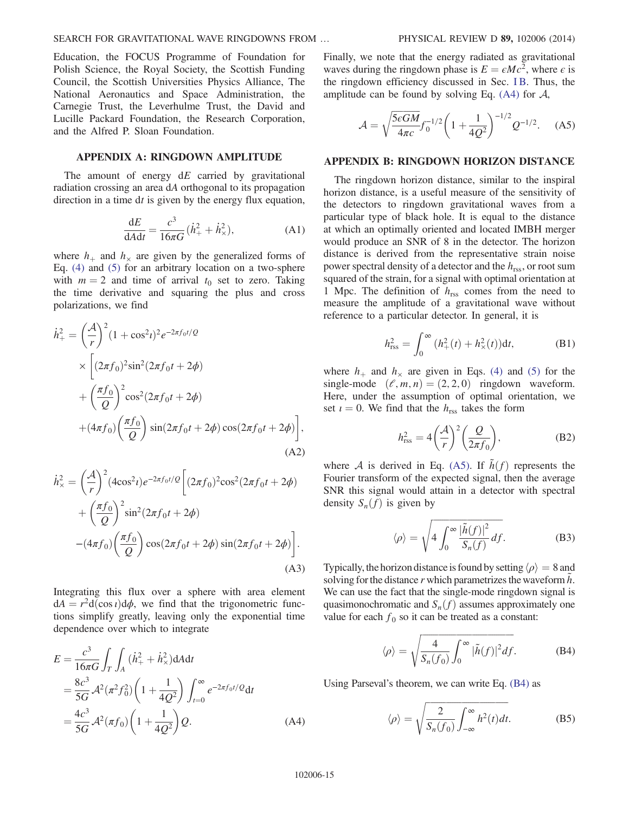Education, the FOCUS Programme of Foundation for Polish Science, the Royal Society, the Scottish Funding Council, the Scottish Universities Physics Alliance, The National Aeronautics and Space Administration, the Carnegie Trust, the Leverhulme Trust, the David and Lucille Packard Foundation, the Research Corporation, and the Alfred P. Sloan Foundation.

## <span id="page-14-0"></span>APPENDIX A: RINGDOWN AMPLITUDE

The amount of energy  $dE$  carried by gravitational radiation crossing an area dA orthogonal to its propagation direction in a time dt is given by the energy flux equation,

$$
\frac{\mathrm{d}E}{\mathrm{d}A\mathrm{d}t} = \frac{c^3}{16\pi G}(\dot{h}_+^2 + \dot{h}_\times^2),\tag{A1}
$$

where  $h_{+}$  and  $h_{\times}$  are given by the generalized forms of Eq. [\(4\)](#page-6-5) and [\(5\)](#page-6-6) for an arbitrary location on a two-sphere with  $m = 2$  and time of arrival  $t_0$  set to zero. Taking the time derivative and squaring the plus and cross polarizations, we find

$$
\dot{h}_{+}^{2} = \left(\frac{\mathcal{A}}{r}\right)^{2} (1 + \cos^{2} t)^{2} e^{-2\pi f_{0} t/Q}
$$
\n
$$
\times \left[ (2\pi f_{0})^{2} \sin^{2} (2\pi f_{0} t + 2\phi) + \left(\frac{\pi f_{0}}{Q}\right)^{2} \cos^{2} (2\pi f_{0} t + 2\phi) + (4\pi f_{0}) \left(\frac{\pi f_{0}}{Q}\right) \sin (2\pi f_{0} t + 2\phi) \cos (2\pi f_{0} t + 2\phi) \right],
$$
\n(A2)

$$
\dot{h}_{\times}^{2} = \left(\frac{\mathcal{A}}{r}\right)^{2} (4\cos^{2}t)e^{-2\pi f_{0}t/\mathcal{Q}} \left[ (2\pi f_{0})^{2}\cos^{2}(2\pi f_{0}t + 2\phi) + \left(\frac{\pi f_{0}}{\mathcal{Q}}\right)^{2}\sin^{2}(2\pi f_{0}t + 2\phi) - (4\pi f_{0})\left(\frac{\pi f_{0}}{\mathcal{Q}}\right)\cos(2\pi f_{0}t + 2\phi)\sin(2\pi f_{0}t + 2\phi) \right].
$$
\n(A3)

Integrating this flux over a sphere with area element  $dA = r^2d(\cos t)d\phi$ , we find that the trigonometric functions simplify greatly, leaving only the exponential time dependence over which to integrate

<span id="page-14-3"></span>
$$
E = \frac{c^3}{16\pi G} \int_T \int_A (\dot{h}_+^2 + \dot{h}_\times^2) dA dt
$$
  
=  $\frac{8c^3}{5G} \mathcal{A}^2 (\pi^2 f_0^2) \left(1 + \frac{1}{4Q^2}\right) \int_{t=0}^\infty e^{-2\pi f_0 t/Q} dt$   
=  $\frac{4c^3}{5G} \mathcal{A}^2 (\pi f_0) \left(1 + \frac{1}{4Q^2}\right) Q.$  (A4)

<span id="page-14-1"></span>Finally, we note that the energy radiated as gravitational waves during the ringdown phase is  $E = \epsilon M c^2$ , where  $\epsilon$  is the ringdown efficiency discussed in Sec. [I B.](#page-5-1) Thus, the amplitude can be found by solving Eq.  $(A4)$  for  $A$ ,

$$
\mathcal{A} = \sqrt{\frac{5\epsilon GM}{4\pi c}} f_0^{-1/2} \left( 1 + \frac{1}{4Q^2} \right)^{-1/2} Q^{-1/2}.
$$
 (A5)

#### <span id="page-14-2"></span>APPENDIX B: RINGDOWN HORIZON DISTANCE

The ringdown horizon distance, similar to the inspiral horizon distance, is a useful measure of the sensitivity of the detectors to ringdown gravitational waves from a particular type of black hole. It is equal to the distance at which an optimally oriented and located IMBH merger would produce an SNR of 8 in the detector. The horizon distance is derived from the representative strain noise power spectral density of a detector and the  $h_{\text{rss}}$ , or root sum squared of the strain, for a signal with optimal orientation at 1 Mpc. The definition of  $h_{\text{rss}}$  comes from the need to measure the amplitude of a gravitational wave without reference to a particular detector. In general, it is

$$
h_{\text{rss}}^2 = \int_0^\infty (h_+^2(t) + h_\times^2(t)) \mathrm{d}t, \tag{B1}
$$

<span id="page-14-6"></span>where  $h_+$  and  $h_{\times}$  are given in Eqs. [\(4\)](#page-6-5) and [\(5\)](#page-6-6) for the single-mode  $(\ell, m, n) = (2, 2, 0)$  ringdown waveform. Here, under the assumption of optimal orientation, we set  $i = 0$ . We find that the  $h_{\text{rss}}$  takes the form

$$
h_{\rm rss}^2 = 4\left(\frac{\mathcal{A}}{r}\right)^2 \left(\frac{\mathcal{Q}}{2\pi f_0}\right),\tag{B2}
$$

where A is derived in Eq. [\(A5\)](#page-14-1). If  $\tilde{h}(f)$  represents the Fourier transform of the expected signal, then the average SNR this signal would attain in a detector with spectral density  $S_n(f)$  is given by

$$
\langle \rho \rangle = \sqrt{4 \int_0^\infty \frac{|\tilde{h}(f)|^2}{S_n(f)} df}.
$$
 (B3)

<span id="page-14-4"></span>Typically, the horizon distance is found by setting  $\langle \rho \rangle = 8$  and solving for the distance  $r$  which parametrizes the waveform  $h$ . We can use the fact that the single-mode ringdown signal is quasimonochromatic and  $S_n(f)$  assumes approximately one value for each  $f_0$  so it can be treated as a constant:

$$
\langle \rho \rangle = \sqrt{\frac{4}{S_n(f_0)}} \int_0^\infty |\tilde{h}(f)|^2 df. \tag{B4}
$$

<span id="page-14-5"></span>Using Parseval's theorem, we can write Eq. [\(B4\)](#page-14-4) as

$$
\langle \rho \rangle = \sqrt{\frac{2}{S_n(f_0)}} \int_{-\infty}^{\infty} h^2(t) dt.
$$
 (B5)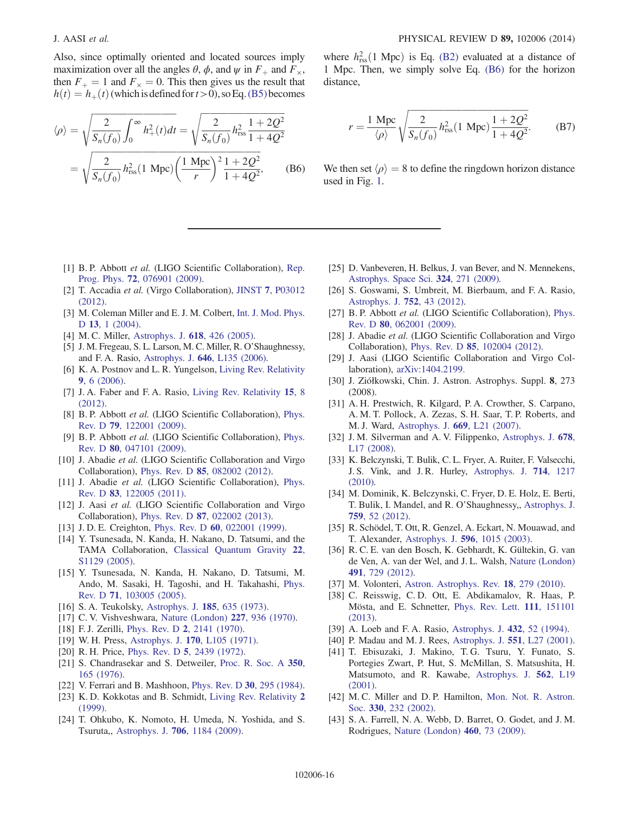Also, since optimally oriented and located sources imply maximization over all the angles  $\theta$ ,  $\phi$ , and  $\psi$  in  $F_+$  and  $F_{\times}$ , then  $F_+ = 1$  and  $F_\times = 0$ . This then gives us the result that  $h(t) = h_{+}(t)$  (which is defined for  $t > 0$ ), so Eq. [\(B5\)](#page-14-5) becomes

<span id="page-15-24"></span>
$$
\langle \rho \rangle = \sqrt{\frac{2}{S_n(f_0)} \int_0^\infty h_+^2(t) dt} = \sqrt{\frac{2}{S_n(f_0)} h_{\text{rss}}^2 \frac{1 + 2Q^2}{1 + 4Q^2}}
$$

$$
= \sqrt{\frac{2}{S_n(f_0)} h_{\text{rss}}^2 (1 \text{ Mpc}) \left(\frac{1 \text{ Mpc}}{r}\right)^2 \frac{1 + 2Q^2}{1 + 4Q^2}}, \quad (B6)
$$

where  $h_{\text{rss}}^2(1 \text{ Mpc})$  is Eq. [\(B2\)](#page-14-6) evaluated at a distance of 1 Mpc. Then, we simply solve Eq. [\(B6\)](#page-15-24) for the horizon distance,

$$
r = \frac{1 \text{ Mpc}}{\langle \rho \rangle} \sqrt{\frac{2}{S_n(f_0)} h_{\text{rss}}^2 (1 \text{ Mpc}) \frac{1 + 2Q^2}{1 + 4Q^2}}.
$$
 (B7)

We then set  $\langle \rho \rangle = 8$  to define the ringdown horizon distance used in Fig. [1.](#page-7-0)

- <span id="page-15-0"></span>[1] B. P. Abbott et al. (LIGO Scientific Collaboration), [Rep.](http://dx.doi.org/10.1088/0034-4885/72/7/076901) Prog. Phys. 72[, 076901 \(2009\)](http://dx.doi.org/10.1088/0034-4885/72/7/076901).
- <span id="page-15-1"></span>[2] T. Accadia et al. (Virgo Collaboration), JINST 7[, P03012](http://dx.doi.org/10.1088/1748-0221/7/03/P03012) [\(2012\).](http://dx.doi.org/10.1088/1748-0221/7/03/P03012)
- <span id="page-15-2"></span>[3] M. Coleman Miller and E. J. M. Colbert, [Int. J. Mod. Phys.](http://dx.doi.org/10.1142/S0218271804004426) D 13[, 1 \(2004\)](http://dx.doi.org/10.1142/S0218271804004426).
- <span id="page-15-17"></span>[4] M. C. Miller, [Astrophys. J.](http://dx.doi.org/10.1086/425910) **618**, 426 (2005).
- <span id="page-15-18"></span>[5] J. M. Fregeau, S. L. Larson, M. C. Miller, R. O'Shaughnessy, and F. A. Rasio, Astrophys. J. 646[, L135 \(2006\).](http://dx.doi.org/10.1086/507106)
- <span id="page-15-3"></span>[6] K. A. Postnov and L. R. Yungelson, [Living Rev. Relativity](http://dx.doi.org/10.12942/lrr-2006-6) 9[, 6 \(2006\)](http://dx.doi.org/10.12942/lrr-2006-6).
- [7] J. A. Faber and F. A. Rasio, [Living Rev. Relativity](http://dx.doi.org/10.12942/lrr-2012-8) 15, 8 [\(2012\).](http://dx.doi.org/10.12942/lrr-2012-8)
- <span id="page-15-4"></span>[8] B. P. Abbott *et al.* (LIGO Scientific Collaboration), [Phys.](http://dx.doi.org/10.1103/PhysRevD.79.122001) Rev. D 79[, 122001 \(2009\)](http://dx.doi.org/10.1103/PhysRevD.79.122001).
- [9] B. P. Abbott et al. (LIGO Scientific Collaboration), [Phys.](http://dx.doi.org/10.1103/PhysRevD.80.047101) Rev. D 80[, 047101 \(2009\)](http://dx.doi.org/10.1103/PhysRevD.80.047101).
- <span id="page-15-21"></span>[10] J. Abadie et al. (LIGO Scientific Collaboration and Virgo Collaboration), Phys. Rev. D 85[, 082002 \(2012\).](http://dx.doi.org/10.1103/PhysRevD.85.082002)
- <span id="page-15-5"></span>[11] J. Abadie et al. (LIGO Scientific Collaboration), [Phys.](http://dx.doi.org/10.1103/PhysRevD.83.122005) Rev. D 83[, 122005 \(2011\)](http://dx.doi.org/10.1103/PhysRevD.83.122005).
- <span id="page-15-23"></span>[12] J. Aasi et al. (LIGO Scientific Collaboration and Virgo Collaboration), Phys. Rev. D 87[, 022002 \(2013\).](http://dx.doi.org/10.1103/PhysRevD.87.022002)
- <span id="page-15-6"></span>[13] J.D.E. Creighton, Phys. Rev. D 60[, 022001 \(1999\)](http://dx.doi.org/10.1103/PhysRevD.60.022001).
- <span id="page-15-20"></span>[14] Y. Tsunesada, N. Kanda, H. Nakano, D. Tatsumi, and the TAMA Collaboration, [Classical Quantum Gravity](http://dx.doi.org/10.1088/0264-9381/22/18/S27) 22, [S1129 \(2005\)](http://dx.doi.org/10.1088/0264-9381/22/18/S27).
- [15] Y. Tsunesada, N. Kanda, H. Nakano, D. Tatsumi, M. Ando, M. Sasaki, H. Tagoshi, and H. Takahashi, [Phys.](http://dx.doi.org/10.1103/PhysRevD.71.103005) Rev. D 71[, 103005 \(2005\)](http://dx.doi.org/10.1103/PhysRevD.71.103005).
- <span id="page-15-7"></span>[16] S.A. Teukolsky, [Astrophys. J.](http://dx.doi.org/10.1086/152444) **185**, 635 (1973).
- [17] C. V. Vishveshwara, [Nature \(London\)](http://dx.doi.org/10.1038/227936a0) 227, 936 (1970).
- [18] F. J. Zerilli, Phys. Rev. D 2[, 2141 \(1970\)](http://dx.doi.org/10.1103/PhysRevD.2.2141).
- [19] W. H. Press, Astrophys. J. 170[, L105 \(1971\)](http://dx.doi.org/10.1086/180849).
- [20] R. H. Price, Phys. Rev. D 5[, 2439 \(1972\).](http://dx.doi.org/10.1103/PhysRevD.5.2439)
- [21] S. Chandrasekar and S. Detweiler, [Proc. R. Soc. A](http://dx.doi.org/10.1098/rspa.1976.0101) 350, [165 \(1976\)](http://dx.doi.org/10.1098/rspa.1976.0101).
- [22] V. Ferrari and B. Mashhoon, [Phys. Rev. D](http://dx.doi.org/10.1103/PhysRevD.30.295) 30, 295 (1984).
- [23] K. D. Kokkotas and B. Schmidt, [Living Rev. Relativity](http://dx.doi.org/10.12942/lrr-1999-2) 2 [\(1999\).](http://dx.doi.org/10.12942/lrr-1999-2)
- <span id="page-15-8"></span>[24] T. Ohkubo, K. Nomoto, H. Umeda, N. Yoshida, and S. Tsuruta,, Astrophys. J. 706[, 1184 \(2009\).](http://dx.doi.org/10.1088/0004-637X/706/2/1184)
- [25] D. Vanbeveren, H. Belkus, J. van Bever, and N. Mennekens, [Astrophys. Space Sci.](http://dx.doi.org/10.1007/s10509-009-0134-3) 324, 271 (2009).
- [26] S. Goswami, S. Umbreit, M. Bierbaum, and F. A. Rasio, [Astrophys. J.](http://dx.doi.org/10.1088/0004-637X/752/1/43) 752, 43 (2012).
- <span id="page-15-9"></span>[27] B. P. Abbott et al. (LIGO Scientific Collaboration), [Phys.](http://dx.doi.org/10.1103/PhysRevD.80.062001) Rev. D 80[, 062001 \(2009\)](http://dx.doi.org/10.1103/PhysRevD.80.062001).
- <span id="page-15-10"></span>[28] J. Abadie et al. (LIGO Scientific Collaboration and Virgo Collaboration), Phys. Rev. D 85[, 102004 \(2012\).](http://dx.doi.org/10.1103/PhysRevD.85.102004)
- <span id="page-15-22"></span>[29] J. Aasi (LIGO Scientific Collaboration and Virgo Collaboration), [arXiv:1404.2199.](http://arXiv.org/abs/1404.2199)
- <span id="page-15-11"></span>[30] J. Ziółkowski, Chin. J. Astron. Astrophys. Suppl. 8, 273 (2008).
- [31] A. H. Prestwich, R. Kilgard, P. A. Crowther, S. Carpano, A. M. T. Pollock, A. Zezas, S. H. Saar, T. P. Roberts, and M. J. Ward, [Astrophys. J.](http://dx.doi.org/10.1086/523755) 669, L21 (2007).
- [32] J. M. Silverman and A. V. Filippenko, [Astrophys. J.](http://dx.doi.org/10.1086/588096) 678, [L17 \(2008\)](http://dx.doi.org/10.1086/588096).
- <span id="page-15-12"></span>[33] K. Belczynski, T. Bulik, C. L. Fryer, A. Ruiter, F. Valsecchi, J. S. Vink, and J. R. Hurley, [Astrophys. J.](http://dx.doi.org/10.1088/0004-637X/714/2/1217) 714, 1217 [\(2010\).](http://dx.doi.org/10.1088/0004-637X/714/2/1217)
- [34] M. Dominik, K. Belczynski, C. Fryer, D. E. Holz, E. Berti, T. Bulik, I. Mandel, and R. O'Shaughnessy,, [Astrophys. J.](http://dx.doi.org/10.1088/0004-637X/759/1/52) 759[, 52 \(2012\)](http://dx.doi.org/10.1088/0004-637X/759/1/52).
- <span id="page-15-13"></span>[35] R. Schödel, T. Ott, R. Genzel, A. Eckart, N. Mouawad, and T. Alexander, Astrophys. J. 596[, 1015 \(2003\)](http://dx.doi.org/10.1086/378122).
- [36] R. C. E. van den Bosch, K. Gebhardt, K. Gültekin, G. van de Ven, A. van der Wel, and J. L. Walsh, [Nature \(London\)](http://dx.doi.org/10.1038/nature11592) 491[, 729 \(2012\)](http://dx.doi.org/10.1038/nature11592).
- <span id="page-15-14"></span>[37] M. Volonteri, [Astron. Astrophys. Rev.](http://dx.doi.org/10.1007/s00159-010-0029-x) **18**, 279 (2010).
- [38] C. Reisswig, C. D. Ott, E. Abdikamalov, R. Haas, P. Mösta, and E. Schnetter, [Phys. Rev. Lett.](http://dx.doi.org/10.1103/PhysRevLett.111.151101) 111, 151101 [\(2013\).](http://dx.doi.org/10.1103/PhysRevLett.111.151101)
- [39] A. Loeb and F. A. Rasio, [Astrophys. J.](http://dx.doi.org/10.1086/174548) 432, 52 (1994).
- [40] P. Madau and M. J. Rees, [Astrophys. J.](http://dx.doi.org/10.1086/319848) **551**, L27 (2001).
- <span id="page-15-16"></span>[41] T. Ebisuzaki, J. Makino, T. G. Tsuru, Y. Funato, S. Portegies Zwart, P. Hut, S. McMillan, S. Matsushita, H. Matsumoto, and R. Kawabe, [Astrophys. J.](http://dx.doi.org/10.1086/338118) 562, L19  $(2001)$ .
- <span id="page-15-19"></span>[42] M. C. Miller and D. P. Hamilton, [Mon. Not. R. Astron.](http://dx.doi.org/10.1046/j.1365-8711.2002.05112.x) Soc. 330[, 232 \(2002\)](http://dx.doi.org/10.1046/j.1365-8711.2002.05112.x).
- <span id="page-15-15"></span>[43] S. A. Farrell, N. A. Webb, D. Barret, O. Godet, and J. M. Rodrigues, [Nature \(London\)](http://dx.doi.org/10.1038/nature08083) 460, 73 (2009).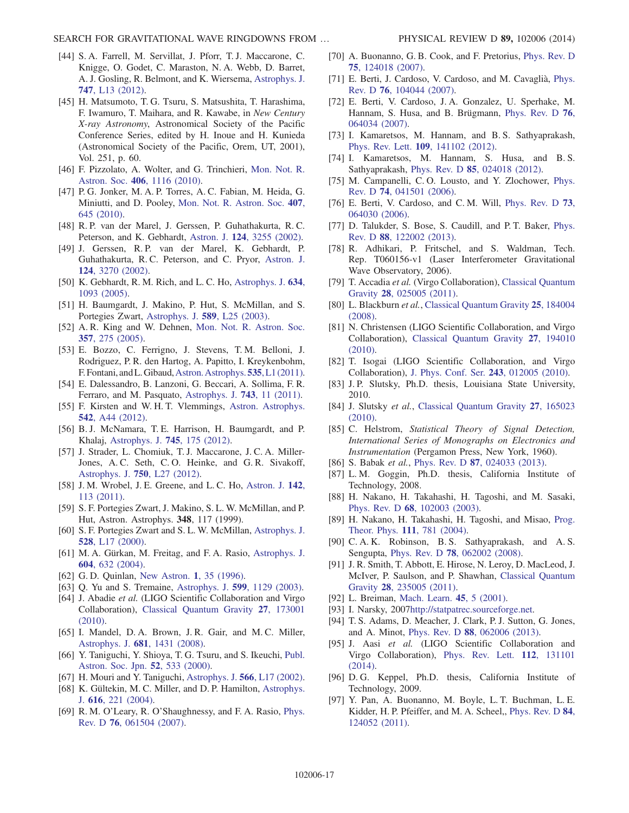- [44] S. A. Farrell, M. Servillat, J. Pforr, T. J. Maccarone, C. Knigge, O. Godet, C. Maraston, N. A. Webb, D. Barret, A. J. Gosling, R. Belmont, and K. Wiersema, [Astrophys. J.](http://dx.doi.org/10.1088/2041-8205/747/1/L13) 747[, L13 \(2012\)](http://dx.doi.org/10.1088/2041-8205/747/1/L13).
- <span id="page-16-0"></span>[45] H. Matsumoto, T. G. Tsuru, S. Matsushita, T. Harashima, F. Iwamuro, T. Maihara, and R. Kawabe, in New Century X-ray Astronomy, Astronomical Society of the Pacific Conference Series, edited by H. Inoue and H. Kunieda (Astronomical Society of the Pacific, Orem, UT, 2001), Vol. 251, p. 60.
- <span id="page-16-1"></span>[46] F. Pizzolato, A. Wolter, and G. Trinchieri, [Mon. Not. R.](http://dx.doi.org/10.1111/j.1365-2966.2010.16735.x) Astron. Soc. 406[, 1116 \(2010\)](http://dx.doi.org/10.1111/j.1365-2966.2010.16735.x).
- <span id="page-16-2"></span>[47] P. G. Jonker, M. A. P. Torres, A. C. Fabian, M. Heida, G. Miniutti, and D. Pooley, [Mon. Not. R. Astron. Soc.](http://dx.doi.org/10.1111/j.1365-2966.2010.16943.x) 407, [645 \(2010\)](http://dx.doi.org/10.1111/j.1365-2966.2010.16943.x).
- <span id="page-16-3"></span>[48] R. P. van der Marel, J. Gerssen, P. Guhathakurta, R. C. Peterson, and K. Gebhardt, Astron. J. 124[, 3255 \(2002\)](http://dx.doi.org/10.1086/344583).
- [49] J. Gerssen, R. P. van der Marel, K. Gebhardt, P. Guhathakurta, R. C. Peterson, and C. Pryor, [Astron. J.](http://dx.doi.org/10.1086/344584) 124[, 3270 \(2002\).](http://dx.doi.org/10.1086/344584)
- [50] K. Gebhardt, R. M. Rich, and L. C. Ho, [Astrophys. J.](http://dx.doi.org/10.1086/497023) 634, [1093 \(2005\).](http://dx.doi.org/10.1086/497023)
- <span id="page-16-4"></span>[51] H. Baumgardt, J. Makino, P. Hut, S. McMillan, and S. Portegies Zwart, [Astrophys. J.](http://dx.doi.org/10.1086/375802) 589, L25 (2003).
- [52] A. R. King and W. Dehnen, [Mon. Not. R. Astron. Soc.](http://dx.doi.org/10.1111/j.1365-2966.2005.08634.x) 357[, 275 \(2005\)](http://dx.doi.org/10.1111/j.1365-2966.2005.08634.x).
- <span id="page-16-5"></span>[53] E. Bozzo, C. Ferrigno, J. Stevens, T. M. Belloni, J. Rodriguez, P. R. den Hartog, A. Papitto, I. Kreykenbohm, F. Fontani, andL.Gibaud,[Astron. Astrophys.](http://dx.doi.org/10.1051/0004-6361/201118022)535,L1 (2011).
- [54] E. Dalessandro, B. Lanzoni, G. Beccari, A. Sollima, F. R. Ferraro, and M. Pasquato, [Astrophys. J.](http://dx.doi.org/10.1088/0004-637X/743/1/11) 743, 11 (2011).
- [55] F. Kirsten and W. H. T. Vlemmings, [Astron. Astrophys.](http://dx.doi.org/10.1051/0004-6361/201218928) 542[, A44 \(2012\)](http://dx.doi.org/10.1051/0004-6361/201218928).
- [56] B. J. McNamara, T. E. Harrison, H. Baumgardt, and P. Khalaj, [Astrophys. J.](http://dx.doi.org/10.1088/0004-637X/745/2/175) 745, 175 (2012).
- [57] J. Strader, L. Chomiuk, T. J. Maccarone, J. C. A. Miller-Jones, A. C. Seth, C. O. Heinke, and G. R. Sivakoff, [Astrophys. J.](http://dx.doi.org/10.1088/2041-8205/750/2/L27) 750, L27 (2012).
- [58] J. M. Wrobel, J. E. Greene, and L. C. Ho, [Astron. J.](http://dx.doi.org/10.1088/0004-6256/142/4/113) 142, [113 \(2011\)](http://dx.doi.org/10.1088/0004-6256/142/4/113).
- [59] S. F. Portegies Zwart, J. Makino, S. L. W. McMillan, and P. Hut, Astron. Astrophys. 348, 117 (1999).
- [60] S. F. Portegies Zwart and S. L. W. McMillan, [Astrophys. J.](http://dx.doi.org/10.1086/312422) 528[, L17 \(2000\)](http://dx.doi.org/10.1086/312422).
- [61] M. A. Gürkan, M. Freitag, and F. A. Rasio, [Astrophys. J.](http://dx.doi.org/10.1086/381968) 604[, 632 \(2004\)](http://dx.doi.org/10.1086/381968).
- [62] G. D. Quinlan, [New Astron.](http://dx.doi.org/10.1016/S1384-1076(96)00003-6) 1, 35 (1996).
- [63] Q. Yu and S. Tremaine, Astrophys. J. **599**[, 1129 \(2003\).](http://dx.doi.org/10.1086/379546)
- <span id="page-16-6"></span>[64] J. Abadie et al. (LIGO Scientific Collaboration and Virgo Collaboration), [Classical Quantum Gravity](http://dx.doi.org/10.1088/0264-9381/27/17/173001) 27, 173001 [\(2010\).](http://dx.doi.org/10.1088/0264-9381/27/17/173001)
- <span id="page-16-7"></span>[65] I. Mandel, D. A. Brown, J. R. Gair, and M. C. Miller, Astrophys. J. 681[, 1431 \(2008\).](http://dx.doi.org/10.1086/588246)
- [66] Y. Taniguchi, Y. Shioya, T. G. Tsuru, and S. Ikeuchi, [Publ.](http://dx.doi.org/10.1093/pasj/52.3.533) [Astron. Soc. Jpn.](http://dx.doi.org/10.1093/pasj/52.3.533) 52, 533 (2000).
- [67] H. Mouri and Y. Taniguchi, [Astrophys. J.](http://dx.doi.org/10.1086/339472) **566**, L17 (2002).
- [68] K. Gültekin, M. C. Miller, and D. P. Hamilton, [Astrophys.](http://dx.doi.org/10.1086/424809) J. 616[, 221 \(2004\).](http://dx.doi.org/10.1086/424809)
- [69] R. M. O'Leary, R. O'Shaughnessy, and F. A. Rasio, [Phys.](http://dx.doi.org/10.1103/PhysRevD.76.061504) Rev. D 76[, 061504 \(2007\)](http://dx.doi.org/10.1103/PhysRevD.76.061504).
- <span id="page-16-8"></span>[70] A. Buonanno, G. B. Cook, and F. Pretorius, [Phys. Rev. D](http://dx.doi.org/10.1103/PhysRevD.75.124018) 75[, 124018 \(2007\).](http://dx.doi.org/10.1103/PhysRevD.75.124018)
- <span id="page-16-9"></span>[71] E. Berti, J. Cardoso, V. Cardoso, and M. Cavaglià, [Phys.](http://dx.doi.org/10.1103/PhysRevD.76.104044) Rev. D 76[, 104044 \(2007\)](http://dx.doi.org/10.1103/PhysRevD.76.104044).
- <span id="page-16-10"></span>[72] E. Berti, V. Cardoso, J. A. Gonzalez, U. Sperhake, M. Hannam, S. Husa, and B. Brügmann, [Phys. Rev. D](http://dx.doi.org/10.1103/PhysRevD.76.064034) 76, [064034 \(2007\).](http://dx.doi.org/10.1103/PhysRevD.76.064034)
- <span id="page-16-11"></span>[73] I. Kamaretsos, M. Hannam, and B. S. Sathyaprakash, Phys. Rev. Lett. 109[, 141102 \(2012\).](http://dx.doi.org/10.1103/PhysRevLett.109.141102)
- [74] I. Kamaretsos, M. Hannam, S. Husa, and B. S. Sathyaprakash, Phys. Rev. D 85[, 024018 \(2012\).](http://dx.doi.org/10.1103/PhysRevD.85.024018)
- [75] M. Campanelli, C. O. Lousto, and Y. Zlochower, [Phys.](http://dx.doi.org/10.1103/PhysRevD.74.041501) Rev. D 74[, 041501 \(2006\)](http://dx.doi.org/10.1103/PhysRevD.74.041501).
- <span id="page-16-12"></span>[76] E. Berti, V. Cardoso, and C. M. Will, [Phys. Rev. D](http://dx.doi.org/10.1103/PhysRevD.73.064030) 73, [064030 \(2006\).](http://dx.doi.org/10.1103/PhysRevD.73.064030)
- <span id="page-16-13"></span>[77] D. Talukder, S. Bose, S. Caudill, and P. T. Baker, [Phys.](http://dx.doi.org/10.1103/PhysRevD.88.122002) Rev. D 88[, 122002 \(2013\)](http://dx.doi.org/10.1103/PhysRevD.88.122002).
- <span id="page-16-14"></span>[78] R. Adhikari, P. Fritschel, and S. Waldman, Tech. Rep. T060156-v1 (Laser Interferometer Gravitational Wave Observatory, 2006).
- <span id="page-16-15"></span>[79] T. Accadia et al. (Virgo Collaboration), [Classical Quantum](http://dx.doi.org/10.1088/0264-9381/28/2/025005) Gravity 28[, 025005 \(2011\).](http://dx.doi.org/10.1088/0264-9381/28/2/025005)
- <span id="page-16-16"></span>[80] L. Blackburn et al., [Classical Quantum Gravity](http://dx.doi.org/10.1088/0264-9381/25/18/184004) 25, 184004 [\(2008\).](http://dx.doi.org/10.1088/0264-9381/25/18/184004)
- [81] N. Christensen (LIGO Scientific Collaboration, and Virgo Collaboration), [Classical Quantum Gravity](http://dx.doi.org/10.1088/0264-9381/27/19/194010) 27, 194010 [\(2010\).](http://dx.doi.org/10.1088/0264-9381/27/19/194010)
- [82] T. Isogai (LIGO Scientific Collaboration, and Virgo Collaboration), [J. Phys. Conf. Ser.](http://dx.doi.org/10.1088/1742-6596/243/1/012005) 243, 012005 (2010).
- <span id="page-16-17"></span>[83] J. P. Slutsky, Ph.D. thesis, Louisiana State University, 2010.
- [84] J. Slutsky et al., [Classical Quantum Gravity](http://dx.doi.org/10.1088/0264-9381/27/16/165023) 27, 165023 [\(2010\).](http://dx.doi.org/10.1088/0264-9381/27/16/165023)
- <span id="page-16-18"></span>[85] C. Helstrom, Statistical Theory of Signal Detection, International Series of Monographs on Electronics and Instrumentation (Pergamon Press, New York, 1960).
- <span id="page-16-19"></span>[86] S. Babak et al., Phys. Rev. D 87[, 024033 \(2013\)](http://dx.doi.org/10.1103/PhysRevD.87.024033).
- <span id="page-16-20"></span>[87] L. M. Goggin, Ph.D. thesis, California Institute of Technology, 2008.
- <span id="page-16-22"></span>[88] H. Nakano, H. Takahashi, H. Tagoshi, and M. Sasaki, Phys. Rev. D 68[, 102003 \(2003\)](http://dx.doi.org/10.1103/PhysRevD.68.102003).
- <span id="page-16-23"></span>[89] H. Nakano, H. Takahashi, H. Tagoshi, and Misao, [Prog.](http://dx.doi.org/10.1143/PTP.111.781) [Theor. Phys.](http://dx.doi.org/10.1143/PTP.111.781) 111, 781 (2004).
- <span id="page-16-21"></span>[90] C. A. K. Robinson, B. S. Sathyaprakash, and A. S. Sengupta, Phys. Rev. D 78[, 062002 \(2008\)](http://dx.doi.org/10.1103/PhysRevD.78.062002).
- <span id="page-16-24"></span>[91] J. R. Smith, T. Abbott, E. Hirose, N. Leroy, D. MacLeod, J. McIver, P. Saulson, and P. Shawhan, [Classical Quantum](http://dx.doi.org/10.1088/0264-9381/28/23/235005) Gravity 28[, 235005 \(2011\).](http://dx.doi.org/10.1088/0264-9381/28/23/235005)
- <span id="page-16-25"></span>[92] L. Breiman, [Mach. Learn.](http://dx.doi.org/10.1023/A:1010933404324) **45**, 5 (2001).
- [93] I. Narsky, 2007<http://statpatrec.sourceforge.net>.
- <span id="page-16-26"></span>[94] T. S. Adams, D. Meacher, J. Clark, P. J. Sutton, G. Jones, and A. Minot, Phys. Rev. D 88[, 062006 \(2013\).](http://dx.doi.org/10.1103/PhysRevD.88.062006)
- <span id="page-16-27"></span>[95] J. Aasi et al. (LIGO Scientific Collaboration and Virgo Collaboration), [Phys. Rev. Lett.](http://dx.doi.org/10.1103/PhysRevLett.112.131101) 112, 131101 [\(2014\).](http://dx.doi.org/10.1103/PhysRevLett.112.131101)
- <span id="page-16-28"></span>[96] D. G. Keppel, Ph.D. thesis, California Institute of Technology, 2009.
- <span id="page-16-29"></span>[97] Y. Pan, A. Buonanno, M. Boyle, L. T. Buchman, L. E. Kidder, H. P. Pfeiffer, and M. A. Scheel,, [Phys. Rev. D](http://dx.doi.org/10.1103/PhysRevD.84.124052) 84, [124052 \(2011\).](http://dx.doi.org/10.1103/PhysRevD.84.124052)